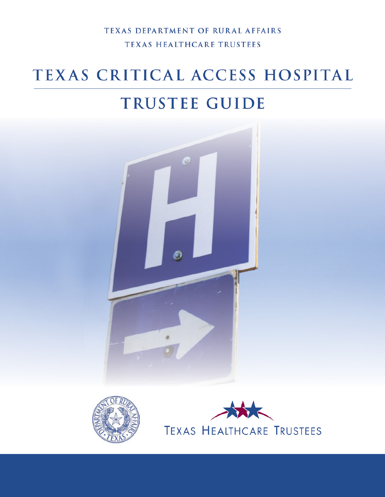TEXAS DEPARTMENT OF RURAL AFFAIRS TEXAS HEALTHCARE TRUSTEES

# TEXAS CRITICAL ACCESS HOSPITAL

# TRUSTEE GUIDE





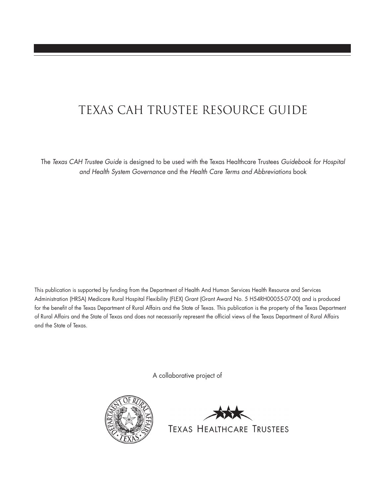# Texas CAH Trustee Resource Guide

The *Texas CAH Trustee Guide* is designed to be used with the Texas Healthcare Trustees *Guidebook for Hospital and Health System Governance* and the *Health Care Terms and Abbreviations* book

This publication is supported by funding from the Department of Health And Human Services Health Resource and Services Administration (HRSA) Medicare Rural Hospital Flexibility (FLEX) Grant (Grant Award No. 5 H54RH00055-07-00) and is produced for the benefit of the Texas Department of Rural Affairs and the State of Texas. This publication is the property of the Texas Department of Rural Affairs and the State of Texas and does not necessarily represent the official views of the Texas Department of Rural Affairs and the State of Texas.

A collaborative project of



TEXAS HEALTHCARE TRUSTEES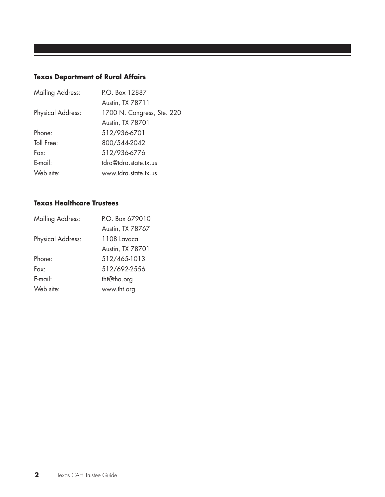# **Texas Department of Rural Affairs**

| P.O. Box 12887             |
|----------------------------|
| Austin, TX 78711           |
| 1700 N. Congress, Ste. 220 |
| Austin, TX 78701           |
| 512/936-6701               |
| 800/544-2042               |
| 512/936-6776               |
| tdra@tdra.state.tx.us      |
| www.tdra.state.tx.us       |
|                            |

## **Texas Healthcare Trustees**

| <b>Mailing Address:</b>  | P.O. Box 679010  |
|--------------------------|------------------|
|                          | Austin, TX 78767 |
| <b>Physical Address:</b> | $1108$ Lavaca    |
|                          | Austin, TX 78701 |
| Phone:                   | 512/465-1013     |
| Fax <sup>.</sup>         | 512/692-2556     |
| E-mail:                  | tht@tha.org      |
| Web site:                | www.tht.org      |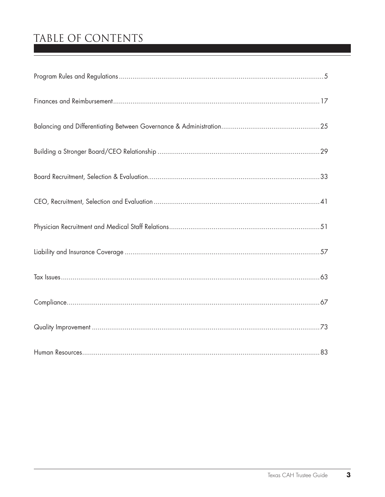# TABLE OF CONTENTS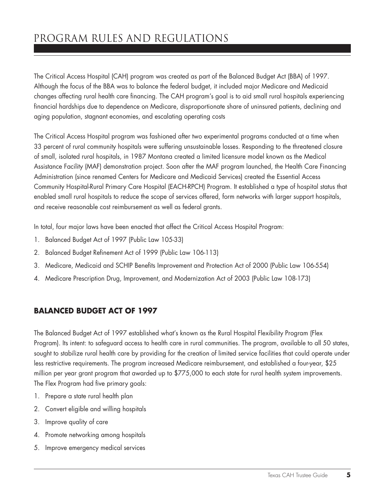# program rules and regulations

The Critical Access Hospital (CAH) program was created as part of the Balanced Budget Act (BBA) of 1997. Although the focus of the BBA was to balance the federal budget, it included major Medicare and Medicaid changes affecting rural health care financing. The CAH program's goal is to aid small rural hospitals experiencing financial hardships due to dependence on Medicare, disproportionate share of uninsured patients, declining and aging population, stagnant economies, and escalating operating costs

The Critical Access Hospital program was fashioned after two experimental programs conducted at a time when 33 percent of rural community hospitals were suffering unsustainable losses. Responding to the threatened closure of small, isolated rural hospitals, in 1987 Montana created a limited licensure model known as the Medical Assistance Facility (MAF) demonstration project. Soon after the MAF program launched, the Health Care Financing Administration (since renamed Centers for Medicare and Medicaid Services) created the Essential Access Community Hospital-Rural Primary Care Hospital (EACH-RPCH) Program. It established a type of hospital status that enabled small rural hospitals to reduce the scope of services offered, form networks with larger support hospitals, and receive reasonable cost reimbursement as well as federal grants.

In total, four major laws have been enacted that affect the Critical Access Hospital Program:

- 1. Balanced Budget Act of 1997 (Public Law 105-33)
- 2. Balanced Budget Refinement Act of 1999 (Public Law 106-113)
- 3. Medicare, Medicaid and SCHIP Benefits Improvement and Protection Act of 2000 (Public Law 106-554)
- 4. Medicare Prescription Drug, Improvement, and Modernization Act of 2003 (Public Law 108-173)

## **Balanced Budget Act of 1997**

The Balanced Budget Act of 1997 established what's known as the Rural Hospital Flexibility Program (Flex Program). Its intent: to safeguard access to health care in rural communities. The program, available to all 50 states, sought to stabilize rural health care by providing for the creation of limited service facilities that could operate under less restrictive requirements. The program increased Medicare reimbursement, and established a four-year, \$25 million per year grant program that awarded up to \$775,000 to each state for rural health system improvements. The Flex Program had five primary goals:

- 1. Prepare a state rural health plan
- 2. Convert eligible and willing hospitals
- 3. Improve quality of care
- 4. Promote networking among hospitals
- 5. Improve emergency medical services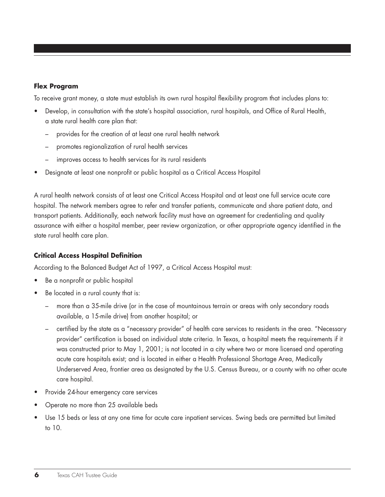#### **Flex Program**

To receive grant money, a state must establish its own rural hospital flexibility program that includes plans to:

- Develop, in consultation with the state's hospital association, rural hospitals, and Office of Rural Health, a state rural health care plan that:
	- provides for the creation of at least one rural health network
	- promotes regionalization of rural health services
	- improves access to health services for its rural residents
- Designate at least one nonprofit or public hospital as a Critical Access Hospital

A rural health network consists of at least one Critical Access Hospital and at least one full service acute care hospital. The network members agree to refer and transfer patients, communicate and share patient data, and transport patients. Additionally, each network facility must have an agreement for credentialing and quality assurance with either a hospital member, peer review organization, or other appropriate agency identified in the state rural health care plan.

#### **Critical Access Hospital Definition**

According to the Balanced Budget Act of 1997, a Critical Access Hospital must:

- Be a nonprofit or public hospital
- Be located in a rural county that is:
	- more than a 35-mile drive (or in the case of mountainous terrain or areas with only secondary roads available, a 15-mile drive) from another hospital; or
	- certified by the state as a "necessary provider" of health care services to residents in the area. "Necessary provider" certification is based on individual state criteria. In Texas, a hospital meets the requirements if it was constructed prior to May 1, 2001; is not located in a city where two or more licensed and operating acute care hospitals exist; and is located in either a Health Professional Shortage Area, Medically Underserved Area, frontier area as designated by the U.S. Census Bureau, or a county with no other acute care hospital.
- Provide 24-hour emergency care services
- Operate no more than 25 available beds
- Use 15 beds or less at any one time for acute care inpatient services. Swing beds are permitted but limited to 10.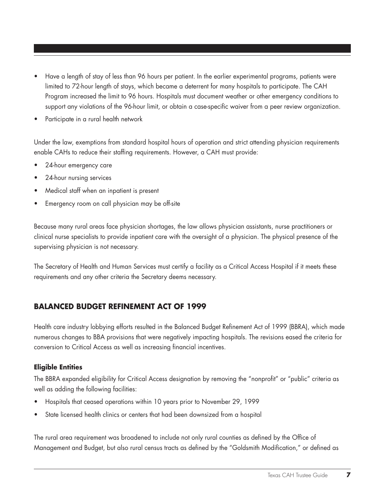- Have a length of stay of less than 96 hours per patient. In the earlier experimental programs, patients were limited to 72-hour length of stays, which became a deterrent for many hospitals to participate. The CAH Program increased the limit to 96 hours. Hospitals must document weather or other emergency conditions to support any violations of the 96-hour limit, or obtain a case-specific waiver from a peer review organization.
- Participate in a rural health network

Under the law, exemptions from standard hospital hours of operation and strict attending physician requirements enable CAHs to reduce their staffing requirements. However, a CAH must provide:

- 24-hour emergency care
- 24-hour nursing services
- Medical staff when an inpatient is present
- Emergency room on call physician may be off-site

Because many rural areas face physician shortages, the law allows physician assistants, nurse practitioners or clinical nurse specialists to provide inpatient care with the oversight of a physician. The physical presence of the supervising physician is not necessary.

The Secretary of Health and Human Services must certify a facility as a Critical Access Hospital if it meets these requirements and any other criteria the Secretary deems necessary.

## **Balanced Budget Refinement Act of 1999**

Health care industry lobbying efforts resulted in the Balanced Budget Refinement Act of 1999 (BBRA), which made numerous changes to BBA provisions that were negatively impacting hospitals. The revisions eased the criteria for conversion to Critical Access as well as increasing financial incentives.

#### **Eligible Entities**

The BBRA expanded eligibility for Critical Access designation by removing the "nonprofit" or "public" criteria as well as adding the following facilities:

- Hospitals that ceased operations within 10 years prior to November 29, 1999
- State licensed health clinics or centers that had been downsized from a hospital

The rural area requirement was broadened to include not only rural counties as defined by the Office of Management and Budget, but also rural census tracts as defined by the "Goldsmith Modification," or defined as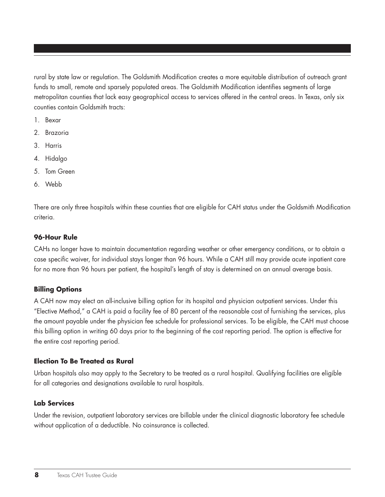rural by state law or regulation. The Goldsmith Modification creates a more equitable distribution of outreach grant funds to small, remote and sparsely populated areas. The Goldsmith Modification identifies segments of large metropolitan counties that lack easy geographical access to services offered in the central areas. In Texas, only six counties contain Goldsmith tracts:

- 1. Bexar
- 2. Brazoria
- 3. Harris
- 4. Hidalgo
- 5. Tom Green
- 6. Webb

There are only three hospitals within these counties that are eligible for CAH status under the Goldsmith Modification criteria.

#### **96-Hour Rule**

CAHs no longer have to maintain documentation regarding weather or other emergency conditions, or to obtain a case specific waiver, for individual stays longer than 96 hours. While a CAH still may provide acute inpatient care for no more than 96 hours per patient, the hospital's length of stay is determined on an annual average basis.

#### **Billing Options**

A CAH now may elect an all-inclusive billing option for its hospital and physician outpatient services. Under this "Elective Method," a CAH is paid a facility fee of 80 percent of the reasonable cost of furnishing the services, plus the amount payable under the physician fee schedule for professional services. To be eligible, the CAH must choose this billing option in writing 60 days prior to the beginning of the cost reporting period. The option is effective for the entire cost reporting period.

#### **Election To Be Treated as Rural**

Urban hospitals also may apply to the Secretary to be treated as a rural hospital. Qualifying facilities are eligible for all categories and designations available to rural hospitals.

#### **Lab Services**

Under the revision, outpatient laboratory services are billable under the clinical diagnostic laboratory fee schedule without application of a deductible. No coinsurance is collected.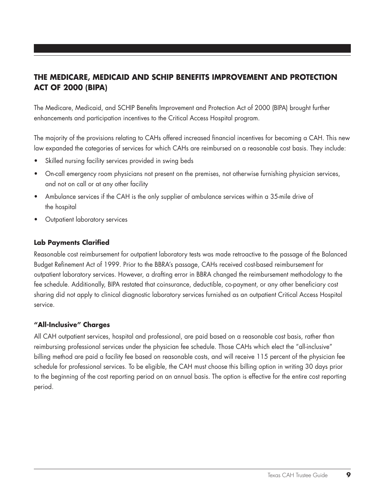# **The Medicare, Medicaid and schip benefits improvement and protection act of 2000 (BIPA)**

The Medicare, Medicaid, and SCHIP Benefits Improvement and Protection Act of 2000 (BIPA) brought further enhancements and participation incentives to the Critical Access Hospital program.

The majority of the provisions relating to CAHs offered increased financial incentives for becoming a CAH. This new law expanded the categories of services for which CAHs are reimbursed on a reasonable cost basis. They include:

- Skilled nursing facility services provided in swing beds
- On-call emergency room physicians not present on the premises, not otherwise furnishing physician services, and not on call or at any other facility
- Ambulance services if the CAH is the only supplier of ambulance services within a 35-mile drive of the hospital
- **Outpatient laboratory services**

#### **Lab Payments Clarified**

Reasonable cost reimbursement for outpatient laboratory tests was made retroactive to the passage of the Balanced Budget Refinement Act of 1999. Prior to the BBRA's passage, CAHs received cost-based reimbursement for outpatient laboratory services. However, a drafting error in BBRA changed the reimbursement methodology to the fee schedule. Additionally, BIPA restated that coinsurance, deductible, co-payment, or any other beneficiary cost sharing did not apply to clinical diagnostic laboratory services furnished as an outpatient Critical Access Hospital service.

#### **"All-Inclusive" Charges**

All CAH outpatient services, hospital and professional, are paid based on a reasonable cost basis, rather than reimbursing professional services under the physician fee schedule. Those CAHs which elect the "all-inclusive" billing method are paid a facility fee based on reasonable costs, and will receive 115 percent of the physician fee schedule for professional services. To be eligible, the CAH must choose this billing option in writing 30 days prior to the beginning of the cost reporting period on an annual basis. The option is effective for the entire cost reporting period.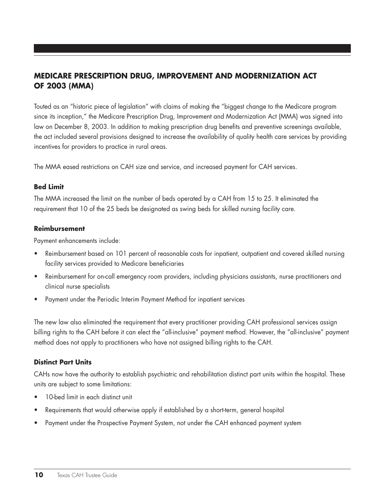# **Medicare Prescription drug, improvement and modernization act of 2003 (MMA)**

Touted as an "historic piece of legislation" with claims of making the "biggest change to the Medicare program since its inception," the Medicare Prescription Drug, Improvement and Modernization Act (MMA) was signed into law on December 8, 2003. In addition to making prescription drug benefits and preventive screenings available, the act included several provisions designed to increase the availability of quality health care services by providing incentives for providers to practice in rural areas.

The MMA eased restrictions on CAH size and service, and increased payment for CAH services.

#### **Bed Limit**

The MMA increased the limit on the number of beds operated by a CAH from 15 to 25. It eliminated the requirement that 10 of the 25 beds be designated as swing beds for skilled nursing facility care.

#### **Reimbursement**

Payment enhancements include:

- Reimbursement based on 101 percent of reasonable costs for inpatient, outpatient and covered skilled nursing facility services provided to Medicare beneficiaries
- Reimbursement for on-call emergency room providers, including physicians assistants, nurse practitioners and clinical nurse specialists
- • Payment under the Periodic Interim Payment Method for inpatient services

The new law also eliminated the requirement that every practitioner providing CAH professional services assign billing rights to the CAH before it can elect the "all-inclusive" payment method. However, the "all-inclusive" payment method does not apply to practitioners who have not assigned billing rights to the CAH.

#### **Distinct Part Units**

CAHs now have the authority to establish psychiatric and rehabilitation distinct part units within the hospital. These units are subject to some limitations:

- 10-bed limit in each distinct unit
- Requirements that would otherwise apply if established by a short-term, general hospital
- • Payment under the Prospective Payment System, not under the CAH enhanced payment system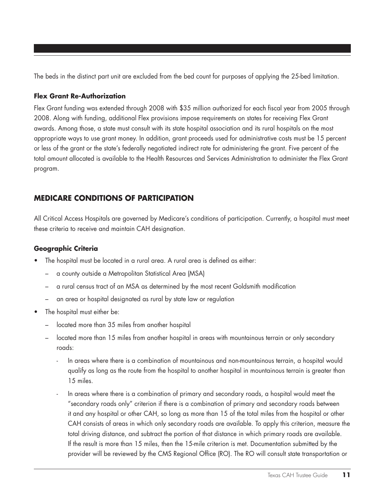The beds in the distinct part unit are excluded from the bed count for purposes of applying the 25-bed limitation.

#### **Flex Grant Re-Authorization**

Flex Grant funding was extended through 2008 with \$35 million authorized for each fiscal year from 2005 through 2008. Along with funding, additional Flex provisions impose requirements on states for receiving Flex Grant awards. Among those, a state must consult with its state hospital association and its rural hospitals on the most appropriate ways to use grant money. In addition, grant proceeds used for administrative costs must be 15 percent or less of the grant or the state's federally negotiated indirect rate for administering the grant. Five percent of the total amount allocated is available to the Health Resources and Services Administration to administer the Flex Grant program.

# **Medicare Conditions of Participation**

All Critical Access Hospitals are governed by Medicare's conditions of participation. Currently, a hospital must meet these criteria to receive and maintain CAH designation.

#### **Geographic Criteria**

- The hospital must be located in a rural area. A rural area is defined as either:
	- a county outside a Metropolitan Statistical Area (MSA)
	- a rural census tract of an MSA as determined by the most recent Goldsmith modification
	- an area or hospital designated as rural by state law or regulation
- The hospital must either be:
	- located more than 35 miles from another hospital
	- located more than 15 miles from another hospital in areas with mountainous terrain or only secondary roads:
		- In areas where there is a combination of mountainous and non-mountainous terrain, a hospital would qualify as long as the route from the hospital to another hospital in mountainous terrain is greater than 15 miles.
		- In areas where there is a combination of primary and secondary roads, a hospital would meet the "secondary roads only" criterion if there is a combination of primary and secondary roads between it and any hospital or other CAH, so long as more than 15 of the total miles from the hospital or other CAH consists of areas in which only secondary roads are available. To apply this criterion, measure the total driving distance, and subtract the portion of that distance in which primary roads are available. If the result is more than 15 miles, then the 15-mile criterion is met. Documentation submitted by the provider will be reviewed by the CMS Regional Office (RO). The RO will consult state transportation or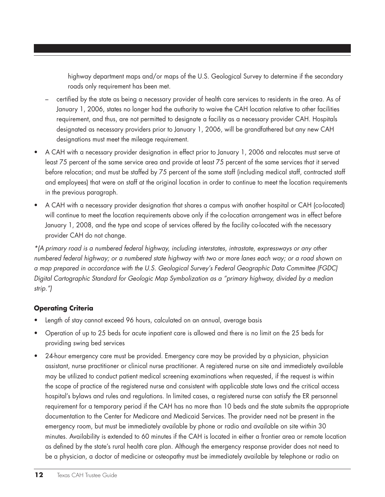highway department maps and/or maps of the U.S. Geological Survey to determine if the secondary roads only requirement has been met.

- certified by the state as being a necessary provider of health care services to residents in the area. As of January 1, 2006, states no longer had the authority to waive the CAH location relative to other facilities requirement, and thus, are not permitted to designate a facility as a necessary provider CAH. Hospitals designated as necessary providers prior to January 1, 2006, will be grandfathered but any new CAH designations must meet the mileage requirement.
- A CAH with a necessary provider designation in effect prior to January 1, 2006 and relocates must serve at least 75 percent of the same service area and provide at least 75 percent of the same services that it served before relocation; and must be staffed by 75 percent of the same staff (including medical staff, contracted staff and employees) that were on staff at the original location in order to continue to meet the location requirements in the previous paragraph.
- A CAH with a necessary provider designation that shares a campus with another hospital or CAH (co-located) will continue to meet the location requirements above only if the co-location arrangement was in effect before January 1, 2008, and the type and scope of services offered by the facility co-located with the necessary provider CAH do not change.

*\*(A primary road is a numbered federal highway, including interstates, intrastate, expressways or any other numbered federal highway; or a numbered state highway with two or more lanes each way; or a road shown on a map prepared in accordance with the U.S. Geological Survey's Federal Geographic Data Committee (FGDC) Digital Cartographic Standard for Geologic Map Symbolization as a "primary highway, divided by a median strip.")*

#### **Operating Criteria**

- Length of stay cannot exceed 96 hours, calculated on an annual, average basis
- Operation of up to 25 beds for acute inpatient care is allowed and there is no limit on the 25 beds for providing swing bed services
- 24-hour emergency care must be provided. Emergency care may be provided by a physician, physician assistant, nurse practitioner or clinical nurse practitioner. A registered nurse on site and immediately available may be utilized to conduct patient medical screening examinations when requested, if the request is within the scope of practice of the registered nurse and consistent with applicable state laws and the critical access hospital's bylaws and rules and regulations. In limited cases, a registered nurse can satisfy the ER personnel requirement for a temporary period if the CAH has no more than 10 beds and the state submits the appropriate documentation to the Center for Medicare and Medicaid Services. The provider need not be present in the emergency room, but must be immediately available by phone or radio and available on site within 30 minutes. Availability is extended to 60 minutes if the CAH is located in either a frontier area or remote location as defined by the state's rural health care plan. Although the emergency response provider does not need to be a physician, a doctor of medicine or osteopathy must be immediately available by telephone or radio on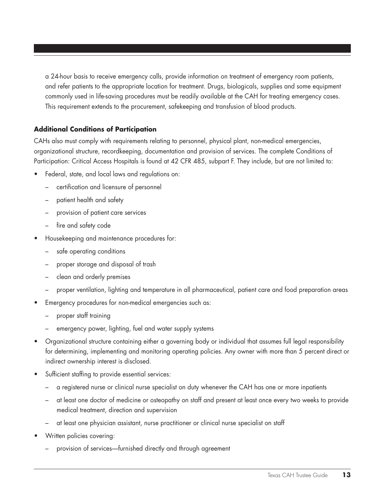a 24-hour basis to receive emergency calls, provide information on treatment of emergency room patients, and refer patients to the appropriate location for treatment. Drugs, biologicals, supplies and some equipment commonly used in life-saving procedures must be readily available at the CAH for treating emergency cases. This requirement extends to the procurement, safekeeping and transfusion of blood products.

#### **Additional Conditions of Participation**

CAHs also must comply with requirements relating to personnel, physical plant, non-medical emergencies, organizational structure, recordkeeping, documentation and provision of services. The complete Conditions of Participation: Critical Access Hospitals is found at 42 CFR 485, subpart F. They include, but are not limited to:

- Federal, state, and local laws and regulations on:
	- certification and licensure of personnel
	- patient health and safety
	- provision of patient care services
	- fire and safety code
- Housekeeping and maintenance procedures for:
	- safe operating conditions
	- proper storage and disposal of trash
	- clean and orderly premises
	- proper ventilation, lighting and temperature in all pharmaceutical, patient care and food preparation areas
- Emergency procedures for non-medical emergencies such as:
	- proper staff training
	- emergency power, lighting, fuel and water supply systems
- • Organizational structure containing either a governing body or individual that assumes full legal responsibility for determining, implementing and monitoring operating policies. Any owner with more than 5 percent direct or indirect ownership interest is disclosed.
- • Sufficient staffing to provide essential services:
	- a registered nurse or clinical nurse specialist on duty whenever the CAH has one or more inpatients
	- at least one doctor of medicine or osteopathy on staff and present at least once every two weeks to provide medical treatment, direction and supervision
	- at least one physician assistant, nurse practitioner or clinical nurse specialist on staff
- Written policies covering:
	- provision of services—furnished directly and through agreement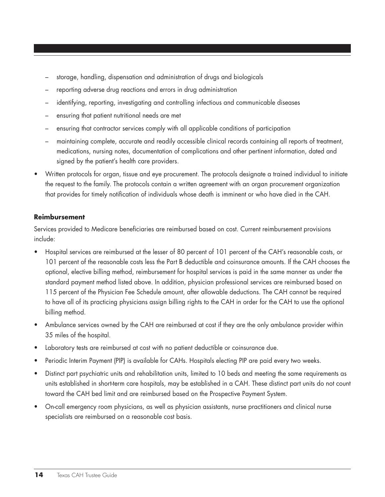- storage, handling, dispensation and administration of drugs and biologicals
- reporting adverse drug reactions and errors in drug administration
- identifying, reporting, investigating and controlling infectious and communicable diseases
- ensuring that patient nutritional needs are met
- ensuring that contractor services comply with all applicable conditions of participation
- maintaining complete, accurate and readily accessible clinical records containing all reports of treatment, medications, nursing notes, documentation of complications and other pertinent information, dated and signed by the patient's health care providers.
- Written protocols for organ, tissue and eye procurement. The protocols designate a trained individual to initiate the request to the family. The protocols contain a written agreement with an organ procurement organization that provides for timely notification of individuals whose death is imminent or who have died in the CAH.

#### **Reimbursement**

Services provided to Medicare beneficiaries are reimbursed based on cost. Current reimbursement provisions include:

- Hospital services are reimbursed at the lesser of 80 percent of 101 percent of the CAH's reasonable costs, or 101 percent of the reasonable costs less the Part B deductible and coinsurance amounts. If the CAH chooses the optional, elective billing method, reimbursement for hospital services is paid in the same manner as under the standard payment method listed above. In addition, physician professional services are reimbursed based on 115 percent of the Physician Fee Schedule amount, after allowable deductions. The CAH cannot be required to have all of its practicing physicians assign billing rights to the CAH in order for the CAH to use the optional billing method.
- Ambulance services owned by the CAH are reimbursed at cost if they are the only ambulance provider within 35 miles of the hospital.
- Laboratory tests are reimbursed at cost with no patient deductible or coinsurance due.
- Periodic Interim Payment (PIP) is available for CAHs. Hospitals electing PIP are paid every two weeks.
- Distinct part psychiatric units and rehabilitation units, limited to 10 beds and meeting the same requirements as units established in short-term care hospitals, may be established in a CAH. These distinct part units do not count toward the CAH bed limit and are reimbursed based on the Prospective Payment System.
- • On-call emergency room physicians, as well as physician assistants, nurse practitioners and clinical nurse specialists are reimbursed on a reasonable cost basis.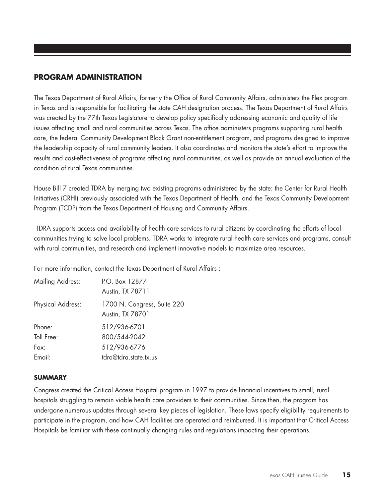#### **Program administration**

The Texas Department of Rural Affairs, formerly the Office of Rural Community Affairs, administers the Flex program in Texas and is responsible for facilitating the state CAH designation process. The Texas Department of Rural Affairs was created by the 77th Texas Legislature to develop policy specifically addressing economic and quality of life issues affecting small and rural communities across Texas. The office administers programs supporting rural health care, the federal Community Development Block Grant non-entitlement program, and programs designed to improve the leadership capacity of rural community leaders. It also coordinates and monitors the state's effort to improve the results and cost-effectiveness of programs affecting rural communities, as well as provide an annual evaluation of the condition of rural Texas communities.

House Bill 7 created TDRA by merging two existing programs administered by the state: the Center for Rural Health Initiatives (CRHI) previously associated with the Texas Department of Health, and the Texas Community Development Program (TCDP) from the Texas Department of Housing and Community Affairs.

 TDRA supports access and availability of health care services to rural citizens by coordinating the efforts of local communities trying to solve local problems. TDRA works to integrate rural health care services and programs, consult with rural communities, and research and implement innovative models to maximize area resources.

For more information, contact the Texas Department of Rural Affairs :

| <b>Mailing Address:</b>  | P.O. Box 12877<br>Austin, TX 78711              |
|--------------------------|-------------------------------------------------|
| <b>Physical Address:</b> | 1700 N. Congress, Suite 220<br>Austin, TX 78701 |
| Phone:                   | 512/936-6701                                    |
| Toll Free:               | 800/544-2042                                    |
| Fax:                     | 512/936-6776                                    |
| Email:                   | tdra@tdra.state.tx.us                           |

#### **Summary**

Congress created the Critical Access Hospital program in 1997 to provide financial incentives to small, rural hospitals struggling to remain viable health care providers to their communities. Since then, the program has undergone numerous updates through several key pieces of legislation. These laws specify eligibility requirements to participate in the program, and how CAH facilities are operated and reimbursed. It is important that Critical Access Hospitals be familiar with these continually changing rules and regulations impacting their operations.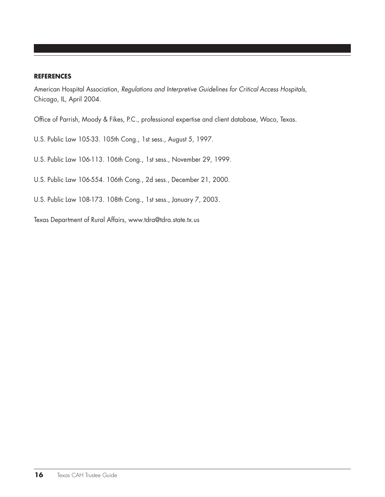#### **References**

American Hospital Association, *Regulations and Interpretive Guidelines for Critical Access Hospitals*, Chicago, IL, April 2004.

Office of Parrish, Moody & Fikes, P.C., professional expertise and client database, Waco, Texas.

- U.S. Public Law 105-33. 105th Cong., 1st sess., August 5, 1997.
- U.S. Public Law 106-113. 106th Cong., 1st sess., November 29, 1999.
- U.S. Public Law 106-554. 106th Cong., 2d sess., December 21, 2000.
- U.S. Public Law 108-173. 108th Cong., 1st sess., January 7, 2003.

Texas Department of Rural Affairs, www.tdra@tdra.state.tx.us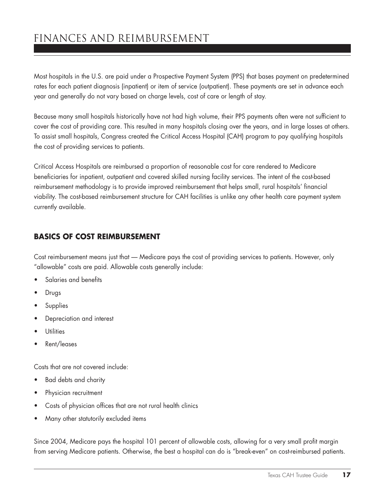# Finances and Reimbursement

Most hospitals in the U.S. are paid under a Prospective Payment System (PPS) that bases payment on predetermined rates for each patient diagnosis (inpatient) or item of service (outpatient). These payments are set in advance each year and generally do not vary based on charge levels, cost of care or length of stay.

Because many small hospitals historically have not had high volume, their PPS payments often were not sufficient to cover the cost of providing care. This resulted in many hospitals closing over the years, and in large losses at others. To assist small hospitals, Congress created the Critical Access Hospital (CAH) program to pay qualifying hospitals the cost of providing services to patients.

Critical Access Hospitals are reimbursed a proportion of reasonable cost for care rendered to Medicare beneficiaries for inpatient, outpatient and covered skilled nursing facility services. The intent of the cost-based reimbursement methodology is to provide improved reimbursement that helps small, rural hospitals' financial viability. The cost-based reimbursement structure for CAH facilities is unlike any other health care payment system currently available.

# **Basics of Cost Reimbursement**

Cost reimbursement means just that — Medicare pays the cost of providing services to patients. However, only "allowable" costs are paid. Allowable costs generally include:

- Salaries and benefits
- • Drugs
- • Supplies
- • Depreciation and interest
- • Utilities
- Rent/leases

Costs that are not covered include:

- Bad debts and charity
- Physician recruitment
- Costs of physician offices that are not rural health clinics
- Many other statutorily excluded items

Since 2004, Medicare pays the hospital 101 percent of allowable costs, allowing for a very small profit margin from serving Medicare patients. Otherwise, the best a hospital can do is "break-even" on cost-reimbursed patients.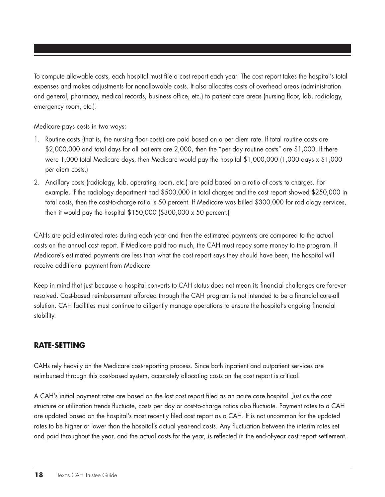To compute allowable costs, each hospital must file a cost report each year. The cost report takes the hospital's total expenses and makes adjustments for nonallowable costs. It also allocates costs of overhead areas (administration and general, pharmacy, medical records, business office, etc.) to patient care areas (nursing floor, lab, radiology, emergency room, etc.).

Medicare pays costs in two ways:

- 1. Routine costs (that is, the nursing floor costs) are paid based on a per diem rate. If total routine costs are \$2,000,000 and total days for all patients are 2,000, then the "per day routine costs" are \$1,000. If there were 1,000 total Medicare days, then Medicare would pay the hospital \$1,000,000 (1,000 days x \$1,000 per diem costs.)
- 2. Ancillary costs (radiology, lab, operating room, etc.) are paid based on a ratio of costs to charges. For example, if the radiology department had \$500,000 in total charges and the cost report showed \$250,000 in total costs, then the cost-to-charge ratio is 50 percent. If Medicare was billed \$300,000 for radiology services, then it would pay the hospital \$150,000 (\$300,000 x 50 percent.)

CAHs are paid estimated rates during each year and then the estimated payments are compared to the actual costs on the annual cost report. If Medicare paid too much, the CAH must repay some money to the program. If Medicare's estimated payments are less than what the cost report says they should have been, the hospital will receive additional payment from Medicare.

Keep in mind that just because a hospital converts to CAH status does not mean its financial challenges are forever resolved. Cost-based reimbursement afforded through the CAH program is not intended to be a financial cure-all solution. CAH facilities must continue to diligently manage operations to ensure the hospital's ongoing financial stability.

# **Rate-Setting**

CAHs rely heavily on the Medicare cost-reporting process. Since both inpatient and outpatient services are reimbursed through this cost-based system, accurately allocating costs on the cost report is critical.

A CAH's initial payment rates are based on the last cost report filed as an acute care hospital. Just as the cost structure or utilization trends fluctuate, costs per day or cost-to-charge ratios also fluctuate. Payment rates to a CAH are updated based on the hospital's most recently filed cost report as a CAH. It is not uncommon for the updated rates to be higher or lower than the hospital's actual year-end costs. Any fluctuation between the interim rates set and paid throughout the year, and the actual costs for the year, is reflected in the end-of-year cost report settlement.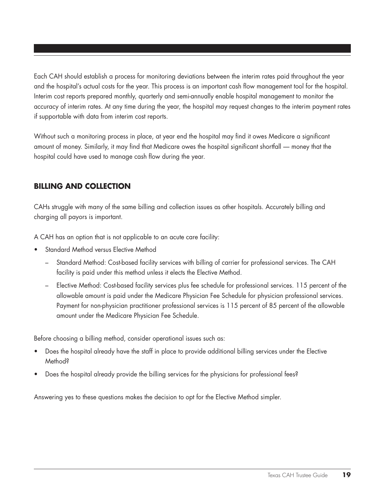Each CAH should establish a process for monitoring deviations between the interim rates paid throughout the year and the hospital's actual costs for the year. This process is an important cash flow management tool for the hospital. Interim cost reports prepared monthly, quarterly and semi-annually enable hospital management to monitor the accuracy of interim rates. At any time during the year, the hospital may request changes to the interim payment rates if supportable with data from interim cost reports.

Without such a monitoring process in place, at year end the hospital may find it owes Medicare a significant amount of money. Similarly, it may find that Medicare owes the hospital significant shortfall — money that the hospital could have used to manage cash flow during the year.

# **Billing and collection**

CAHs struggle with many of the same billing and collection issues as other hospitals. Accurately billing and charging all payors is important.

A CAH has an option that is not applicable to an acute care facility:

- Standard Method versus Elective Method
	- Standard Method: Cost-based facility services with billing of carrier for professional services. The CAH facility is paid under this method unless it elects the Elective Method.
	- Elective Method: Cost-based facility services plus fee schedule for professional services. 115 percent of the allowable amount is paid under the Medicare Physician Fee Schedule for physician professional services. Payment for non-physician practitioner professional services is 115 percent of 85 percent of the allowable amount under the Medicare Physician Fee Schedule.

Before choosing a billing method, consider operational issues such as:

- Does the hospital already have the staff in place to provide additional billing services under the Elective Method?
- Does the hospital already provide the billing services for the physicians for professional fees?

Answering yes to these questions makes the decision to opt for the Elective Method simpler.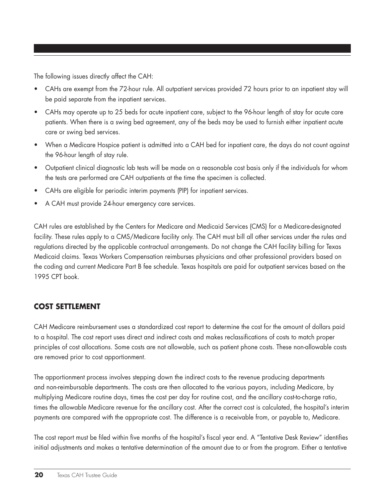The following issues directly affect the CAH:

- CAHs are exempt from the 72-hour rule. All outpatient services provided 72 hours prior to an inpatient stay will be paid separate from the inpatient services.
- • CAHs may operate up to 25 beds for acute inpatient care, subject to the 96-hour length of stay for acute care patients. When there is a swing bed agreement, any of the beds may be used to furnish either inpatient acute care or swing bed services.
- When a Medicare Hospice patient is admitted into a CAH bed for inpatient care, the days do not count against the 96-hour length of stay rule.
- • Outpatient clinical diagnostic lab tests will be made on a reasonable cost basis only if the individuals for whom the tests are performed are CAH outpatients at the time the specimen is collected.
- CAHs are eligible for periodic interim payments (PIP) for inpatient services.
- A CAH must provide 24-hour emergency care services.

CAH rules are established by the Centers for Medicare and Medicaid Services (CMS) for a Medicare-designated facility. These rules apply to a CMS/Medicare facility only. The CAH must bill all other services under the rules and regulations directed by the applicable contractual arrangements. Do not change the CAH facility billing for Texas Medicaid claims. Texas Workers Compensation reimburses physicians and other professional providers based on the coding and current Medicare Part B fee schedule. Texas hospitals are paid for outpatient services based on the 1995 CPT book.

## **Cost settlement**

CAH Medicare reimbursement uses a standardized cost report to determine the cost for the amount of dollars paid to a hospital. The cost report uses direct and indirect costs and makes reclassifications of costs to match proper principles of cost allocations. Some costs are not allowable, such as patient phone costs. These non-allowable costs are removed prior to cost apportionment.

The apportionment process involves stepping down the indirect costs to the revenue producing departments and non-reimbursable departments. The costs are then allocated to the various payors, including Medicare, by multiplying Medicare routine days, times the cost per day for routine cost, and the ancillary cost-to-charge ratio, times the allowable Medicare revenue for the ancillary cost. After the correct cost is calculated, the hospital's interim payments are compared with the appropriate cost. The difference is a receivable from, or payable to, Medicare.

The cost report must be filed within five months of the hospital's fiscal year end. A "Tentative Desk Review" identifies initial adjustments and makes a tentative determination of the amount due to or from the program. Either a tentative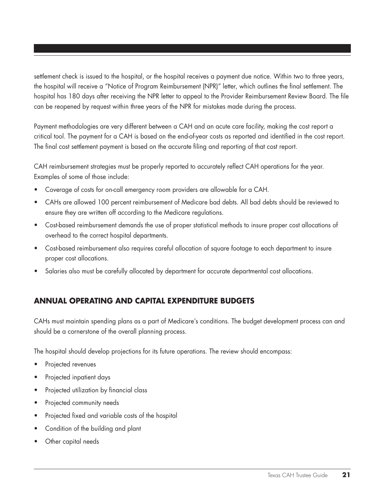settlement check is issued to the hospital, or the hospital receives a payment due notice. Within two to three years, the hospital will receive a "Notice of Program Reimbursement (NPR)" letter, which outlines the final settlement. The hospital has 180 days after receiving the NPR letter to appeal to the Provider Reimbursement Review Board. The file can be reopened by request within three years of the NPR for mistakes made during the process.

Payment methodologies are very different between a CAH and an acute care facility, making the cost report a critical tool. The payment for a CAH is based on the end-of-year costs as reported and identified in the cost report. The final cost settlement payment is based on the accurate filing and reporting of that cost report.

CAH reimbursement strategies must be properly reported to accurately reflect CAH operations for the year. Examples of some of those include:

- Coverage of costs for on-call emergency room providers are allowable for a CAH.
- CAHs are allowed 100 percent reimbursement of Medicare bad debts. All bad debts should be reviewed to ensure they are written off according to the Medicare regulations.
- • Cost-based reimbursement demands the use of proper statistical methods to insure proper cost allocations of overhead to the correct hospital departments.
- Cost-based reimbursement also requires careful allocation of square footage to each department to insure proper cost allocations.
- Salaries also must be carefully allocated by department for accurate departmental cost allocations.

## **Annual operating and capital expenditure budgets**

CAHs must maintain spending plans as a part of Medicare's conditions. The budget development process can and should be a cornerstone of the overall planning process.

The hospital should develop projections for its future operations. The review should encompass:

- Projected revenues
- Projected inpatient days
- Projected utilization by financial class
- Projected community needs
- Projected fixed and variable costs of the hospital
- Condition of the building and plant
- Other capital needs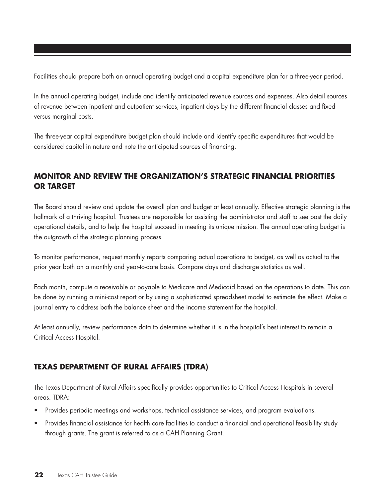Facilities should prepare both an annual operating budget and a capital expenditure plan for a three-year period.

In the annual operating budget, include and identify anticipated revenue sources and expenses. Also detail sources of revenue between inpatient and outpatient services, inpatient days by the different financial classes and fixed versus marginal costs.

The three-year capital expenditure budget plan should include and identify specific expenditures that would be considered capital in nature and note the anticipated sources of financing.

# **Monitor and review the organization's strategic financial priorities or target**

The Board should review and update the overall plan and budget at least annually. Effective strategic planning is the hallmark of a thriving hospital. Trustees are responsible for assisting the administrator and staff to see past the daily operational details, and to help the hospital succeed in meeting its unique mission. The annual operating budget is the outgrowth of the strategic planning process.

To monitor performance, request monthly reports comparing actual operations to budget, as well as actual to the prior year both on a monthly and year-to-date basis. Compare days and discharge statistics as well.

Each month, compute a receivable or payable to Medicare and Medicaid based on the operations to date. This can be done by running a mini-cost report or by using a sophisticated spreadsheet model to estimate the effect. Make a journal entry to address both the balance sheet and the income statement for the hospital.

At least annually, review performance data to determine whether it is in the hospital's best interest to remain a Critical Access Hospital.

# **Texas department of rural affairs (TDRA)**

The Texas Department of Rural Affairs specifically provides opportunities to Critical Access Hospitals in several areas. TDRA:

- Provides periodic meetings and workshops, technical assistance services, and program evaluations.
- Provides financial assistance for health care facilities to conduct a financial and operational feasibility study through grants. The grant is referred to as a CAH Planning Grant.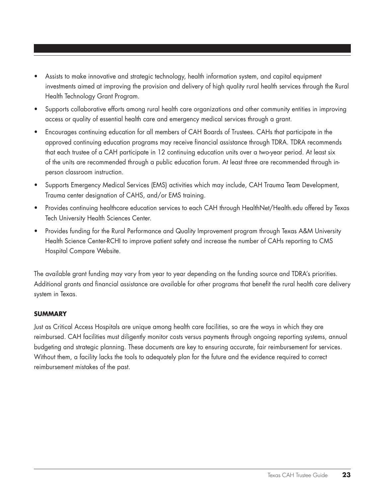- Assists to make innovative and strategic technology, health information system, and capital equipment investments aimed at improving the provision and delivery of high quality rural health services through the Rural Health Technology Grant Program.
- • Supports collaborative efforts among rural health care organizations and other community entities in improving access or quality of essential health care and emergency medical services through a grant.
- Encourages continuing education for all members of CAH Boards of Trustees. CAHs that participate in the approved continuing education programs may receive financial assistance through TDRA. TDRA recommends that each trustee of a CAH participate in 12 continuing education units over a two-year period. At least six of the units are recommended through a public education forum. At least three are recommended through inperson classroom instruction.
- Supports Emergency Medical Services (EMS) activities which may include, CAH Trauma Team Development, Trauma center designation of CAHS, and/or EMS training.
- Provides continuing healthcare education services to each CAH through HealthNet/Health.edu offered by Texas Tech University Health Sciences Center.
- Provides funding for the Rural Performance and Quality Improvement program through Texas A&M University Health Science Center-RCHI to improve patient safety and increase the number of CAHs reporting to CMS Hospital Compare Website.

The available grant funding may vary from year to year depending on the funding source and TDRA's priorities. Additional grants and financial assistance are available for other programs that benefit the rural health care delivery system in Texas.

#### **summary**

Just as Critical Access Hospitals are unique among health care facilities, so are the ways in which they are reimbursed. CAH facilities must diligently monitor costs versus payments through ongoing reporting systems, annual budgeting and strategic planning. These documents are key to ensuring accurate, fair reimbursement for services. Without them, a facility lacks the tools to adequately plan for the future and the evidence required to correct reimbursement mistakes of the past.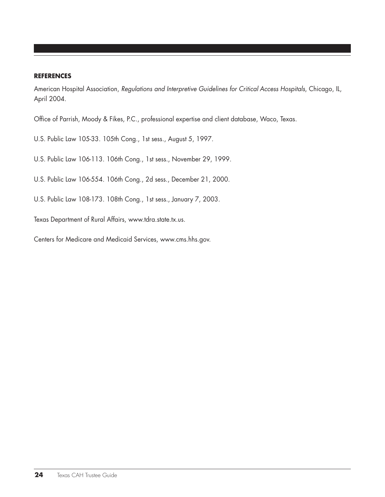#### **references**

American Hospital Association, *Regulations and Interpretive Guidelines for Critical Access Hospitals*, Chicago, IL, April 2004.

Office of Parrish, Moody & Fikes, P.C., professional expertise and client database, Waco, Texas.

- U.S. Public Law 105-33. 105th Cong., 1st sess., August 5, 1997.
- U.S. Public Law 106-113. 106th Cong., 1st sess., November 29, 1999.
- U.S. Public Law 106-554. 106th Cong., 2d sess., December 21, 2000.
- U.S. Public Law 108-173. 108th Cong., 1st sess., January 7, 2003.

Texas Department of Rural Affairs, www.tdra.state.tx.us.

Centers for Medicare and Medicaid Services, www.cms.hhs.gov.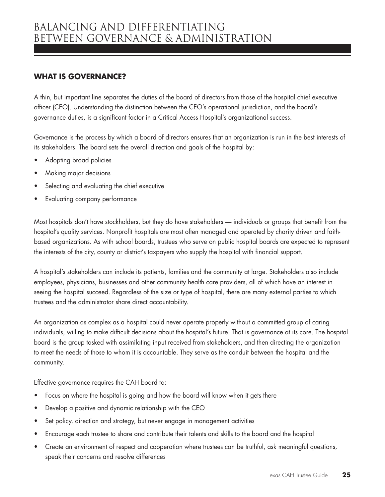# **What is governance?**

A thin, but important line separates the duties of the board of directors from those of the hospital chief executive officer (CEO). Understanding the distinction between the CEO's operational jurisdiction, and the board's governance duties, is a significant factor in a Critical Access Hospital's organizational success.

Governance is the process by which a board of directors ensures that an organization is run in the best interests of its stakeholders. The board sets the overall direction and goals of the hospital by:

- Adopting broad policies
- Making major decisions
- Selecting and evaluating the chief executive
- Evaluating company performance

Most hospitals don't have stockholders, but they do have stakeholders — individuals or groups that benefit from the hospital's quality services. Nonprofit hospitals are most often managed and operated by charity driven and faithbased organizations. As with school boards, trustees who serve on public hospital boards are expected to represent the interests of the city, county or district's taxpayers who supply the hospital with financial support.

A hospital's stakeholders can include its patients, families and the community at large. Stakeholders also include employees, physicians, businesses and other community health care providers, all of which have an interest in seeing the hospital succeed. Regardless of the size or type of hospital, there are many external parties to which trustees and the administrator share direct accountability.

An organization as complex as a hospital could never operate properly without a committed group of caring individuals, willing to make difficult decisions about the hospital's future. That is governance at its core. The hospital board is the group tasked with assimilating input received from stakeholders, and then directing the organization to meet the needs of those to whom it is accountable. They serve as the conduit between the hospital and the community.

Effective governance requires the CAH board to:

- Focus on where the hospital is going and how the board will know when it gets there
- Develop a positive and dynamic relationship with the CEO
- Set policy, direction and strategy, but never engage in management activities
- Encourage each trustee to share and contribute their talents and skills to the board and the hospital
- Create an environment of respect and cooperation where trustees can be truthful, ask meaningful questions, speak their concerns and resolve differences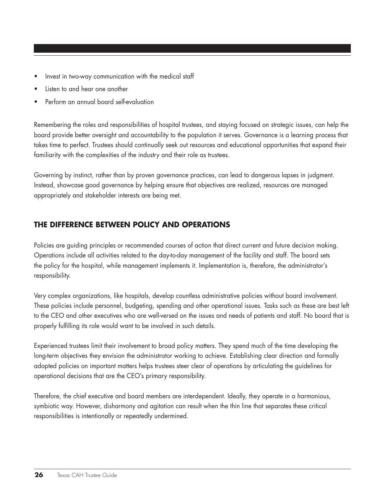- Invest in two-way communication with the medical staff
- Listen to and hear one another
- Perform an annual board self-evaluation

Remembering the roles and responsibilities of hospital trustees, and staying focused on strategic issues, can help the board provide better oversight and accountability to the population it serves. Governance is a learning process that takes time to perfect. Trustees should continually seek out resources and educational opportunities that expand their familiarity with the complexities of the industry and their role as trustees.

Governing by instinct, rather than by proven governance practices, can lead to dangerous lapses in judgment. Instead, showcase good governance by helping ensure that objectives are realized, resources are managed appropriately and stakeholder interests are being met.

## **The difference between Policy and Operations**

Policies are guiding principles or recommended courses of action that direct current and future decision making. Operations include all activities related to the day-to-day management of the facility and staff. The board sets the policy for the hospital, while management implements it. Implementation is, therefore, the administrator's responsibility.

Very complex organizations, like hospitals, develop countless administrative policies without board involvement. These policies include personnel, budgeting, spending and other operational issues. Tasks such as these are best left to the CEO and other executives who are well-versed on the issues and needs of patients and staff. No board that is properly fulfilling its role would want to be involved in such details.

Experienced trustees limit their involvement to broad policy matters. They spend much of the time developing the long-term objectives they envision the administrator working to achieve. Establishing clear direction and formally adopted policies on important matters helps trustees steer clear of operations by articulating the guidelines for operational decisions that are the CEO's primary responsibility.

Therefore, the chief executive and board members are interdependent. Ideally, they operate in a harmonious, symbiotic way. However, disharmony and agitation can result when the thin line that separates these critical responsibilities is intentionally or repeatedly undermined.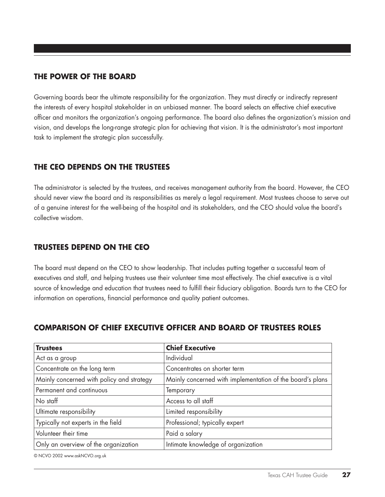#### **The power of the board**

Governing boards bear the ultimate responsibility for the organization. They must directly or indirectly represent the interests of every hospital stakeholder in an unbiased manner. The board selects an effective chief executive officer and monitors the organization's ongoing performance. The board also defines the organization's mission and vision, and develops the long-range strategic plan for achieving that vision. It is the administrator's most important task to implement the strategic plan successfully.

# **The ceo depends on the trustees**

The administrator is selected by the trustees, and receives management authority from the board. However, the CEO should never view the board and its responsibilities as merely a legal requirement. Most trustees choose to serve out of a genuine interest for the well-being of the hospital and its stakeholders, and the CEO should value the board's collective wisdom.

## **TruStees depend on the ceo**

The board must depend on the CEO to show leadership. That includes putting together a successful team of executives and staff, and helping trustees use their volunteer time most effectively. The chief executive is a vital source of knowledge and education that trustees need to fulfill their fiduciary obligation. Boards turn to the CEO for information on operations, financial performance and quality patient outcomes.

## **Comparison of chief executive officer and board of trustees roles**

| <b>Trustees</b>                           | <b>Chief Executive</b>                                    |
|-------------------------------------------|-----------------------------------------------------------|
| Act as a group                            | Individual                                                |
| Concentrate on the long term              | Concentrates on shorter term                              |
| Mainly concerned with policy and strategy | Mainly concerned with implementation of the board's plans |
| Permanent and continuous                  | Temporary                                                 |
| No staff                                  | Access to all staff                                       |
| Ultimate responsibility                   | Limited responsibility                                    |
| Typically not experts in the field        | Professional; typically expert                            |
| Volunteer their time                      | Paid a salary                                             |
| Only an overview of the organization      | Intimate knowledge of organization                        |

© NCVO 2002 www.askNCVO.org.uk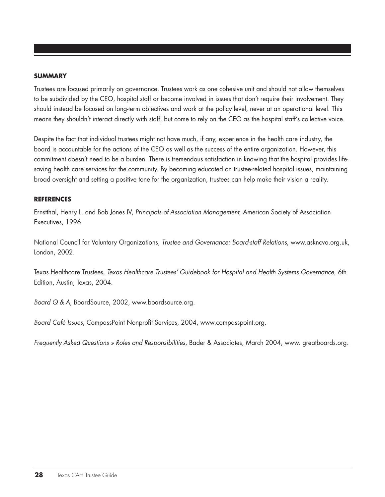#### **summary**

Trustees are focused primarily on governance. Trustees work as one cohesive unit and should not allow themselves to be subdivided by the CEO, hospital staff or become involved in issues that don't require their involvement. They should instead be focused on long-term objectives and work at the policy level, never at an operational level. This means they shouldn't interact directly with staff, but come to rely on the CEO as the hospital staff's collective voice.

Despite the fact that individual trustees might not have much, if any, experience in the health care industry, the board is accountable for the actions of the CEO as well as the success of the entire organization. However, this commitment doesn't need to be a burden. There is tremendous satisfaction in knowing that the hospital provides lifesaving health care services for the community. By becoming educated on trustee-related hospital issues, maintaining broad oversight and setting a positive tone for the organization, trustees can help make their vision a reality.

#### **REFERENCES**

Ernstthal, Henry L. and Bob Jones IV, *Principals of Association Management*, American Society of Association Executives, 1996.

National Council for Voluntary Organizations, *Trustee and Governance: Board-staff Relations*, www.askncvo.org.uk, London, 2002.

Texas Healthcare Trustees, *Texas Healthcare Trustees' Guidebook for Hospital and Health Systems Governance*, 6th Edition, Austin, Texas, 2004.

*Board Q & A*, BoardSource, 2002, www.boardsource.org.

*Board Café Issues*, CompassPoint Nonprofit Services, 2004, www.compasspoint.org.

*Frequently Asked Questions » Roles and Responsibilities*, Bader & Associates, March 2004, www. greatboards.org.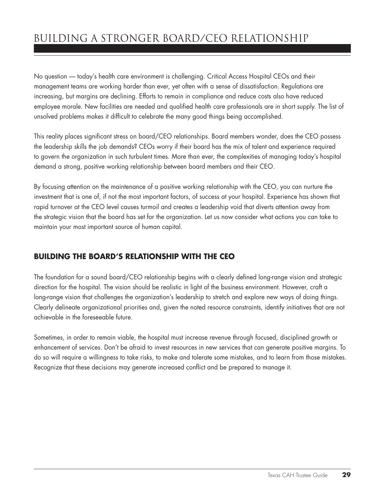# Building a Stronger Board/CEO Relationship

No question — today's health care environment is challenging. Critical Access Hospital CEOs and their management teams are working harder than ever, yet often with a sense of dissatisfaction. Regulations are increasing, but margins are declining. Efforts to remain in compliance and reduce costs also have reduced employee morale. New facilities are needed and qualified health care professionals are in short supply. The list of unsolved problems makes it difficult to celebrate the many good things being accomplished.

This reality places significant stress on board/CEO relationships. Board members wonder, does the CEO possess the leadership skills the job demands? CEOs worry if their board has the mix of talent and experience required to govern the organization in such turbulent times. More than ever, the complexities of managing today's hospital demand a strong, positive working relationship between board members and their CEO.

By focusing attention on the maintenance of a positive working relationship with the CEO, you can nurture the investment that is one of, if not the most important factors, of success at your hospital. Experience has shown that rapid turnover at the CEO level causes turmoil and creates a leadership void that diverts attention away from the strategic vision that the board has set for the organization. Let us now consider what actions you can take to maintain your most important source of human capital.

# **Building the board's relationship with the CEO**

The foundation for a sound board/CEO relationship begins with a clearly defined long-range vision and strategic direction for the hospital. The vision should be realistic in light of the business environment. However, craft a long-range vision that challenges the organization's leadership to stretch and explore new ways of doing things. Clearly delineate organizational priorities and, given the noted resource constraints, identify initiatives that are not achievable in the foreseeable future.

Sometimes, in order to remain viable, the hospital must increase revenue through focused, disciplined growth or enhancement of services. Don't be afraid to invest resources in new services that can generate positive margins. To do so will require a willingness to take risks, to make and tolerate some mistakes, and to learn from those mistakes. Recognize that these decisions may generate increased conflict and be prepared to manage it.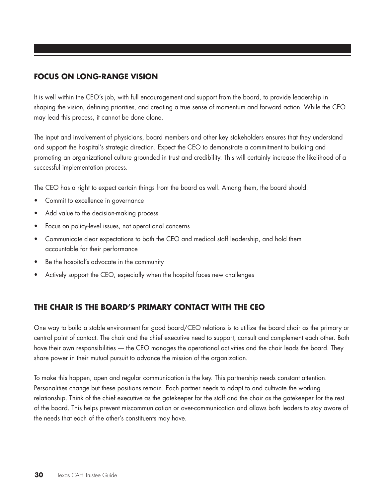# **Focus on long-range vision**

It is well within the CEO's job, with full encouragement and support from the board, to provide leadership in shaping the vision, defining priorities, and creating a true sense of momentum and forward action. While the CEO may lead this process, it cannot be done alone.

The input and involvement of physicians, board members and other key stakeholders ensures that they understand and support the hospital's strategic direction. Expect the CEO to demonstrate a commitment to building and promoting an organizational culture grounded in trust and credibility. This will certainly increase the likelihood of a successful implementation process.

The CEO has a right to expect certain things from the board as well. Among them, the board should:

- Commit to excellence in governance
- Add value to the decision-making process
- Focus on policy-level issues, not operational concerns
- • Communicate clear expectations to both the CEO and medical staff leadership, and hold them accountable for their performance
- Be the hospital's advocate in the community
- Actively support the CEO, especially when the hospital faces new challenges

## **The Chair is the board's primary contact with the ceo**

One way to build a stable environment for good board/CEO relations is to utilize the board chair as the primary or central point of contact. The chair and the chief executive need to support, consult and complement each other. Both have their own responsibilities — the CEO manages the operational activities and the chair leads the board. They share power in their mutual pursuit to advance the mission of the organization.

To make this happen, open and regular communication is the key. This partnership needs constant attention. Personalities change but these positions remain. Each partner needs to adapt to and cultivate the working relationship. Think of the chief executive as the gatekeeper for the staff and the chair as the gatekeeper for the rest of the board. This helps prevent miscommunication or over-communication and allows both leaders to stay aware of the needs that each of the other's constituents may have.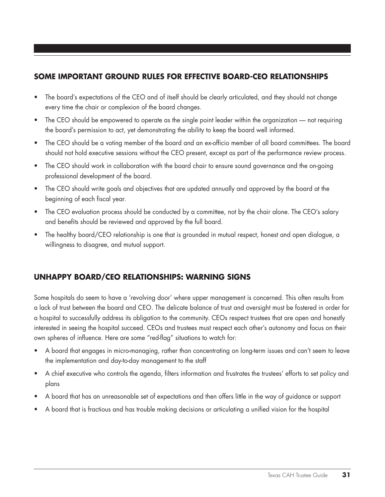# **Some important ground rules for effective board-ceo relationships**

- The board's expectations of the CEO and of itself should be clearly articulated, and they should not change every time the chair or complexion of the board changes.
- The CEO should be empowered to operate as the single point leader within the organization not requiring the board's permission to act, yet demonstrating the ability to keep the board well informed.
- The CEO should be a voting member of the board and an ex-officio member of all board committees. The board should not hold executive sessions without the CEO present, except as part of the performance review process.
- The CEO should work in collaboration with the board chair to ensure sound governance and the on-going professional development of the board.
- The CEO should write goals and objectives that are updated annually and approved by the board at the beginning of each fiscal year.
- The CEO evaluation process should be conducted by a committee, not by the chair alone. The CEO's salary and benefits should be reviewed and approved by the full board.
- The healthy board/CEO relationship is one that is grounded in mutual respect, honest and open dialogue, a willingness to disagree, and mutual support.

# **Unhappy board/ceo relationships: warning signs**

Some hospitals do seem to have a 'revolving door' where upper management is concerned. This often results from a lack of trust between the board and CEO. The delicate balance of trust and oversight must be fostered in order for a hospital to successfully address its obligation to the community. CEOs respect trustees that are open and honestly interested in seeing the hospital succeed. CEOs and trustees must respect each other's autonomy and focus on their own spheres of influence. Here are some "red-flag" situations to watch for:

- A board that engages in micro-managing, rather than concentrating on long-term issues and can't seem to leave the implementation and day-to-day management to the staff
- • A chief executive who controls the agenda, filters information and frustrates the trustees' efforts to set policy and plans
- A board that has an unreasonable set of expectations and then offers little in the way of guidance or support
- A board that is fractious and has trouble making decisions or articulating a unified vision for the hospital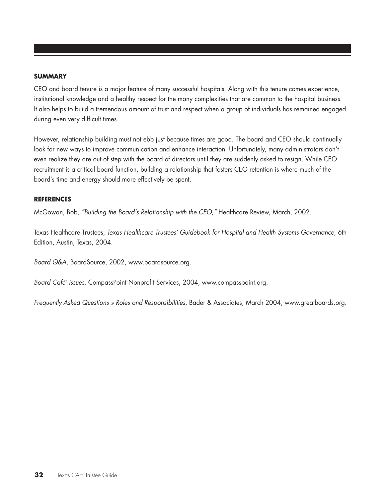#### **summary**

CEO and board tenure is a major feature of many successful hospitals. Along with this tenure comes experience, institutional knowledge and a healthy respect for the many complexities that are common to the hospital business. It also helps to build a tremendous amount of trust and respect when a group of individuals has remained engaged during even very difficult times.

However, relationship building must not ebb just because times are good. The board and CEO should continually look for new ways to improve communication and enhance interaction. Unfortunately, many administrators don't even realize they are out of step with the board of directors until they are suddenly asked to resign. While CEO recruitment is a critical board function, building a relationship that fosters CEO retention is where much of the board's time and energy should more effectively be spent.

#### **REFERENCES**

McGowan, Bob, *"Building the Board's Relationship with the CEO,"* Healthcare Review, March, 2002.

Texas Healthcare Trustees, *Texas Healthcare Trustees' Guidebook for Hospital and Health Systems Governance*, 6th Edition, Austin, Texas, 2004.

*Board Q&A*, BoardSource, 2002, www.boardsource.org.

*Board Café' Issues*, CompassPoint Nonprofit Services, 2004, www.compasspoint.org.

*Frequently Asked Questions » Roles and Responsibilities*, Bader & Associates, March 2004, www.greatboards.org.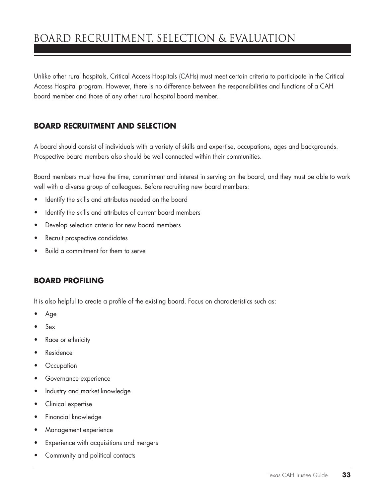# Board Recruitment, Selection & Evaluation

Unlike other rural hospitals, Critical Access Hospitals (CAHs) must meet certain criteria to participate in the Critical Access Hospital program. However, there is no difference between the responsibilities and functions of a CAH board member and those of any other rural hospital board member.

#### **Board recruitment and selection**

A board should consist of individuals with a variety of skills and expertise, occupations, ages and backgrounds. Prospective board members also should be well connected within their communities.

Board members must have the time, commitment and interest in serving on the board, and they must be able to work well with a diverse group of colleagues. Before recruiting new board members:

- • Identify the skills and attributes needed on the board
- Identify the skills and attributes of current board members
- • Develop selection criteria for new board members
- • Recruit prospective candidates
- Build a commitment for them to serve

#### **Board profiling**

It is also helpful to create a profile of the existing board. Focus on characteristics such as:

- Age
- Sex
- Race or ethnicity
- **Residence**
- • Occupation
- **•** Governance experience
- Industry and market knowledge
- Clinical expertise
- • Financial knowledge
- • Management experience
- • Experience with acquisitions and mergers
- Community and political contacts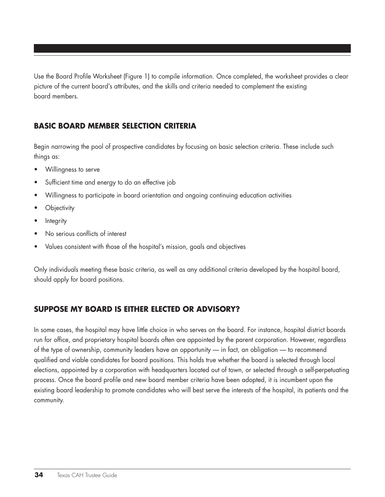Use the Board Profile Worksheet (Figure 1) to compile information. Once completed, the worksheet provides a clear picture of the current board's attributes, and the skills and criteria needed to complement the existing board members.

# **Basic Board member selection criteria**

Begin narrowing the pool of prospective candidates by focusing on basic selection criteria. These include such things as:

- Willingness to serve
- Sufficient time and energy to do an effective job
- Willingness to participate in board orientation and ongoing continuing education activities
- **Objectivity**
- **Integrity**
- No serious conflicts of interest
- Values consistent with those of the hospital's mission, goals and objectives

Only individuals meeting these basic criteria, as well as any additional criteria developed by the hospital board, should apply for board positions.

# **Suppose my board is either elected or advisory?**

In some cases, the hospital may have little choice in who serves on the board. For instance, hospital district boards run for office, and proprietary hospital boards often are appointed by the parent corporation. However, regardless of the type of ownership, community leaders have an opportunity — in fact, an obligation — to recommend qualified and viable candidates for board positions. This holds true whether the board is selected through local elections, appointed by a corporation with headquarters located out of town, or selected through a self-perpetuating process. Once the board profile and new board member criteria have been adopted, it is incumbent upon the existing board leadership to promote candidates who will best serve the interests of the hospital, its patients and the community.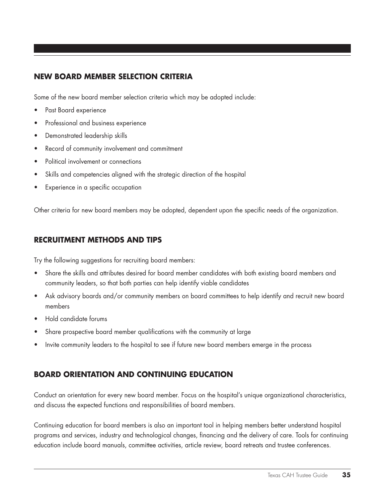#### **NEW Board member selection criteria**

Some of the new board member selection criteria which may be adopted include:

- Past Board experience
- Professional and business experience
- • Demonstrated leadership skills
- Record of community involvement and commitment
- Political involvement or connections
- Skills and competencies aligned with the strategic direction of the hospital
- Experience in a specific occupation

Other criteria for new board members may be adopted, dependent upon the specific needs of the organization.

#### **RECRUITMENT METHODS AND TIPS**

Try the following suggestions for recruiting board members:

- Share the skills and attributes desired for board member candidates with both existing board members and community leaders, so that both parties can help identify viable candidates
- Ask advisory boards and/or community members on board committees to help identify and recruit new board members
- Hold candidate forums
- Share prospective board member qualifications with the community at large
- Invite community leaders to the hospital to see if future new board members emerge in the process

## **Board orientation and continuing education**

Conduct an orientation for every new board member. Focus on the hospital's unique organizational characteristics, and discuss the expected functions and responsibilities of board members.

Continuing education for board members is also an important tool in helping members better understand hospital programs and services, industry and technological changes, financing and the delivery of care. Tools for continuing education include board manuals, committee activities, article review, board retreats and trustee conferences.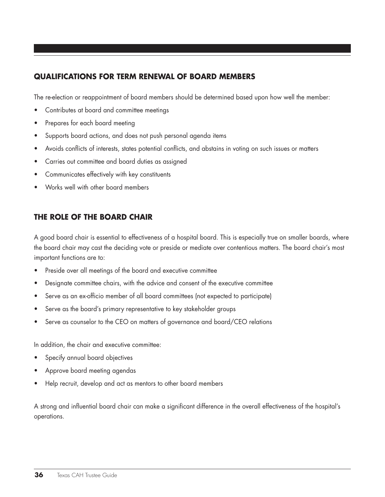### **Qualifications for term renewal of board members**

The re-election or reappointment of board members should be determined based upon how well the member:

- Contributes at board and committee meetings
- Prepares for each board meeting
- Supports board actions, and does not push personal agenda items
- Avoids conflicts of interests, states potential conflicts, and abstains in voting on such issues or matters
- • Carries out committee and board duties as assigned
- Communicates effectively with key constituents
- Works well with other board members

### **The role of the board chair**

A good board chair is essential to effectiveness of a hospital board. This is especially true on smaller boards, where the board chair may cast the deciding vote or preside or mediate over contentious matters. The board chair's most important functions are to:

- Preside over all meetings of the board and executive committee
- Designate committee chairs, with the advice and consent of the executive committee
- Serve as an ex-officio member of all board committees (not expected to participate)
- Serve as the board's primary representative to key stakeholder groups
- Serve as counselor to the CEO on matters of governance and board/CEO relations

In addition, the chair and executive committee:

- Specify annual board objectives
- Approve board meeting agendas
- Help recruit, develop and act as mentors to other board members

A strong and influential board chair can make a significant difference in the overall effectiveness of the hospital's operations.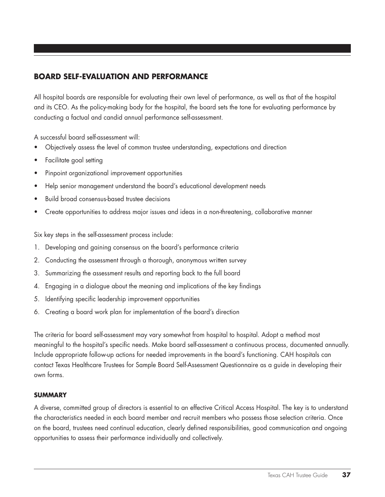### **Board self-evaluation and performance**

All hospital boards are responsible for evaluating their own level of performance, as well as that of the hospital and its CEO. As the policy-making body for the hospital, the board sets the tone for evaluating performance by conducting a factual and candid annual performance self-assessment.

A successful board self-assessment will:

- Objectively assess the level of common trustee understanding, expectations and direction
- • Facilitate goal setting
- • Pinpoint organizational improvement opportunities
- Help senior management understand the board's educational development needs
- Build broad consensus-based trustee decisions
- Create opportunities to address major issues and ideas in a non-threatening, collaborative manner

Six key steps in the self-assessment process include:

- 1. Developing and gaining consensus on the board's performance criteria
- 2. Conducting the assessment through a thorough, anonymous written survey
- 3. Summarizing the assessment results and reporting back to the full board
- 4. Engaging in a dialogue about the meaning and implications of the key findings
- 5. Identifying specific leadership improvement opportunities
- 6. Creating a board work plan for implementation of the board's direction

The criteria for board self-assessment may vary somewhat from hospital to hospital. Adopt a method most meaningful to the hospital's specific needs. Make board self-assessment a continuous process, documented annually. Include appropriate follow-up actions for needed improvements in the board's functioning. CAH hospitals can contact Texas Healthcare Trustees for Sample Board Self-Assessment Questionnaire as a guide in developing their own forms.

#### **summary**

A diverse, committed group of directors is essential to an effective Critical Access Hospital. The key is to understand the characteristics needed in each board member and recruit members who possess those selection criteria. Once on the board, trustees need continual education, clearly defined responsibilities, good communication and ongoing opportunities to assess their performance individually and collectively.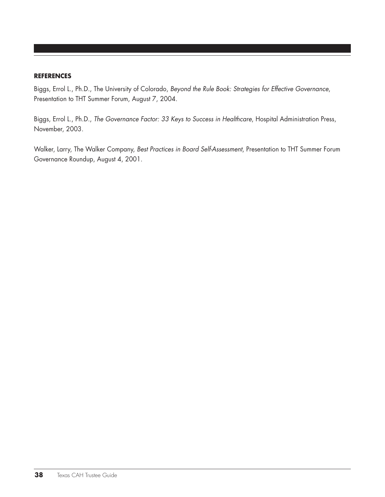#### **references**

Biggs, Errol L., Ph.D., The University of Colorado, *Beyond the Rule Book: Strategies for Effective Governance*, Presentation to THT Summer Forum, August 7, 2004.

Biggs, Errol L., Ph.D., *The Governance Factor: 33 Keys to Success in Healthcare*, Hospital Administration Press, November, 2003.

Walker, Larry, The Walker Company, *Best Practices in Board Self-Assessment*, Presentation to THT Summer Forum Governance Roundup, August 4, 2001.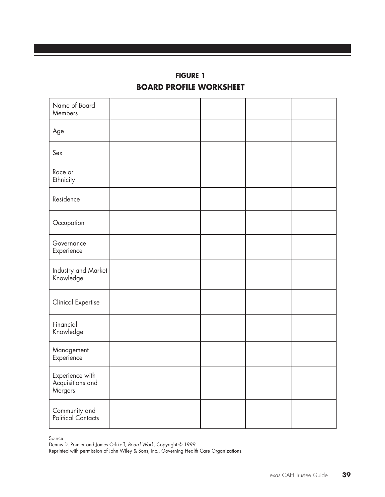# **FIGURE 1 BOARD PROFILE WORKSHEET**

| Name of Board<br>Members                       |  |  |  |
|------------------------------------------------|--|--|--|
| Age                                            |  |  |  |
| Sex                                            |  |  |  |
| Race or<br>Ethnicity                           |  |  |  |
| Residence                                      |  |  |  |
| Occupation                                     |  |  |  |
| Governance<br>Experience                       |  |  |  |
| Industry and Market<br>Knowledge               |  |  |  |
| <b>Clinical Expertise</b>                      |  |  |  |
| Financial<br>Knowledge                         |  |  |  |
| Management<br>Experience                       |  |  |  |
| Experience with<br>Acquisitions and<br>Mergers |  |  |  |
| <b>Community and<br/>Political Contacts</b>    |  |  |  |

Source:

Dennis D. Pointer and James Orlikoff, *Board Work,* Copyright © 1999

Reprinted with permission of John Wiley & Sons, Inc., Governing Health Care Organizations.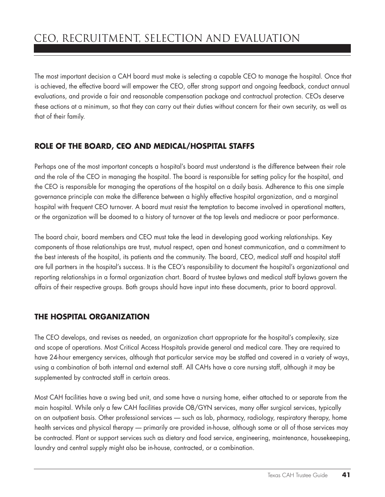The most important decision a CAH board must make is selecting a capable CEO to manage the hospital. Once that is achieved, the effective board will empower the CEO, offer strong support and ongoing feedback, conduct annual evaluations, and provide a fair and reasonable compensation package and contractual protection. CEOs deserve these actions at a minimum, so that they can carry out their duties without concern for their own security, as well as that of their family.

# **Role of the board, ceo and medical/hospital staffs**

Perhaps one of the most important concepts a hospital's board must understand is the difference between their role and the role of the CEO in managing the hospital. The board is responsible for setting policy for the hospital, and the CEO is responsible for managing the operations of the hospital on a daily basis. Adherence to this one simple governance principle can make the difference between a highly effective hospital organization, and a marginal hospital with frequent CEO turnover. A board must resist the temptation to become involved in operational matters, or the organization will be doomed to a history of turnover at the top levels and mediocre or poor performance.

The board chair, board members and CEO must take the lead in developing good working relationships. Key components of those relationships are trust, mutual respect, open and honest communication, and a commitment to the best interests of the hospital, its patients and the community. The board, CEO, medical staff and hospital staff are full partners in the hospital's success. It is the CEO's responsibility to document the hospital's organizational and reporting relationships in a formal organization chart. Board of trustee bylaws and medical staff bylaws govern the affairs of their respective groups. Both groups should have input into these documents, prior to board approval.

# **The hospital organization**

The CEO develops, and revises as needed, an organization chart appropriate for the hospital's complexity, size and scope of operations. Most Critical Access Hospitals provide general and medical care. They are required to have 24-hour emergency services, although that particular service may be staffed and covered in a variety of ways, using a combination of both internal and external staff. All CAHs have a core nursing staff, although it may be supplemented by contracted staff in certain areas.

Most CAH facilities have a swing bed unit, and some have a nursing home, either attached to or separate from the main hospital. While only a few CAH facilities provide OB/GYN services, many offer surgical services, typically on an outpatient basis. Other professional services — such as lab, pharmacy, radiology, respiratory therapy, home health services and physical therapy — primarily are provided in-house, although some or all of those services may be contracted. Plant or support services such as dietary and food service, engineering, maintenance, housekeeping, laundry and central supply might also be in-house, contracted, or a combination.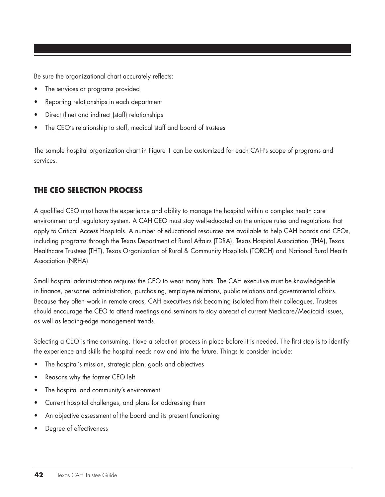Be sure the organizational chart accurately reflects:

- The services or programs provided
- Reporting relationships in each department
- Direct (line) and indirect (staff) relationships
- The CEO's relationship to staff, medical staff and board of trustees

The sample hospital organization chart in Figure 1 can be customized for each CAH's scope of programs and services.

# **The ceo selection process**

A qualified CEO must have the experience and ability to manage the hospital within a complex health care environment and regulatory system. A CAH CEO must stay well-educated on the unique rules and regulations that apply to Critical Access Hospitals. A number of educational resources are available to help CAH boards and CEOs, including programs through the Texas Department of Rural Affairs (TDRA), Texas Hospital Association (THA), Texas Healthcare Trustees (THT), Texas Organization of Rural & Community Hospitals (TORCH) and National Rural Health Association (NRHA).

Small hospital administration requires the CEO to wear many hats. The CAH executive must be knowledgeable in finance, personnel administration, purchasing, employee relations, public relations and governmental affairs. Because they often work in remote areas, CAH executives risk becoming isolated from their colleagues. Trustees should encourage the CEO to attend meetings and seminars to stay abreast of current Medicare/Medicaid issues, as well as leading-edge management trends.

Selecting a CEO is time-consuming. Have a selection process in place before it is needed. The first step is to identify the experience and skills the hospital needs now and into the future. Things to consider include:

- The hospital's mission, strategic plan, goals and objectives
- Reasons why the former CEO left
- The hospital and community's environment
- Current hospital challenges, and plans for addressing them
- An objective assessment of the board and its present functioning
- Degree of effectiveness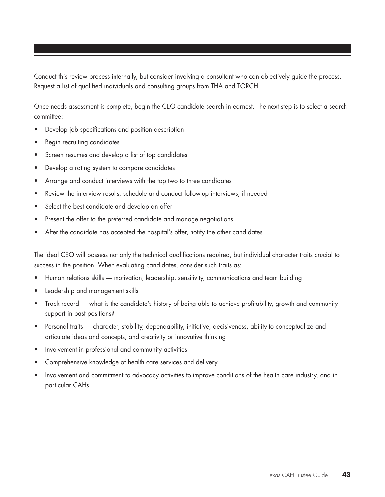Conduct this review process internally, but consider involving a consultant who can objectively guide the process. Request a list of qualified individuals and consulting groups from THA and TORCH.

Once needs assessment is complete, begin the CEO candidate search in earnest. The next step is to select a search committee:

- Develop job specifications and position description
- Begin recruiting candidates
- Screen resumes and develop a list of top candidates
- Develop a rating system to compare candidates
- Arrange and conduct interviews with the top two to three candidates
- Review the interview results, schedule and conduct follow-up interviews, if needed
- Select the best candidate and develop an offer
- Present the offer to the preferred candidate and manage negotiations
- After the candidate has accepted the hospital's offer, notify the other candidates

The ideal CEO will possess not only the technical qualifications required, but individual character traits crucial to success in the position. When evaluating candidates, consider such traits as:

- Human relations skills motivation, leadership, sensitivity, communications and team building
- Leadership and management skills
- Track record what is the candidate's history of being able to achieve profitability, growth and community support in past positions?
- Personal traits character, stability, dependability, initiative, decisiveness, ability to conceptualize and articulate ideas and concepts, and creativity or innovative thinking
- Involvement in professional and community activities
- Comprehensive knowledge of health care services and delivery
- Involvement and commitment to advocacy activities to improve conditions of the health care industry, and in particular CAHs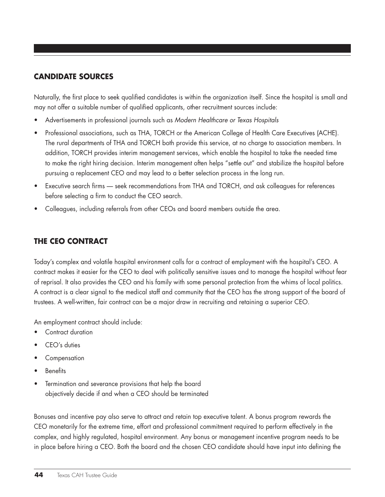# **Candidate sources**

Naturally, the first place to seek qualified candidates is within the organization itself. Since the hospital is small and may not offer a suitable number of qualified applicants, other recruitment sources include:

- Advertisements in professional journals such as *Modern Healthcare or Texas Hospitals*
- Professional associations, such as THA, TORCH or the American College of Health Care Executives (ACHE). The rural departments of THA and TORCH both provide this service, at no charge to association members. In addition, TORCH provides interim management services, which enable the hospital to take the needed time to make the right hiring decision. Interim management often helps "settle out" and stabilize the hospital before pursuing a replacement CEO and may lead to a better selection process in the long run.
- Executive search firms seek recommendations from THA and TORCH, and ask colleagues for references before selecting a firm to conduct the CEO search.
- Colleagues, including referrals from other CEOs and board members outside the area.

# **The ceo contract**

Today's complex and volatile hospital environment calls for a contract of employment with the hospital's CEO. A contract makes it easier for the CEO to deal with politically sensitive issues and to manage the hospital without fear of reprisal. It also provides the CEO and his family with some personal protection from the whims of local politics. A contract is a clear signal to the medical staff and community that the CEO has the strong support of the board of trustees. A well-written, fair contract can be a major draw in recruiting and retaining a superior CEO.

An employment contract should include:

- Contract duration
- CEO's duties
- **Compensation**
- • Benefits
- Termination and severance provisions that help the board objectively decide if and when a CEO should be terminated

Bonuses and incentive pay also serve to attract and retain top executive talent. A bonus program rewards the CEO monetarily for the extreme time, effort and professional commitment required to perform effectively in the complex, and highly regulated, hospital environment. Any bonus or management incentive program needs to be in place before hiring a CEO. Both the board and the chosen CEO candidate should have input into defining the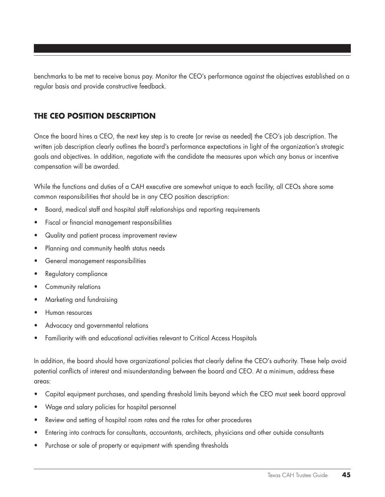benchmarks to be met to receive bonus pay. Monitor the CEO's performance against the objectives established on a regular basis and provide constructive feedback.

### **The CEO position description**

Once the board hires a CEO, the next key step is to create (or revise as needed) the CEO's job description. The written job description clearly outlines the board's performance expectations in light of the organization's strategic goals and objectives. In addition, negotiate with the candidate the measures upon which any bonus or incentive compensation will be awarded.

While the functions and duties of a CAH executive are somewhat unique to each facility, all CEOs share some common responsibilities that should be in any CEO position description:

- Board, medical staff and hospital staff relationships and reporting requirements
- • Fiscal or financial management responsibilities
- Quality and patient process improvement review
- Planning and community health status needs
- • General management responsibilities
- Regulatory compliance
- Community relations
- Marketing and fundraising
- Human resources
- Advocacy and governmental relations
- Familiarity with and educational activities relevant to Critical Access Hospitals

In addition, the board should have organizational policies that clearly define the CEO's authority. These help avoid potential conflicts of interest and misunderstanding between the board and CEO. At a minimum, address these areas:

- • Capital equipment purchases, and spending threshold limits beyond which the CEO must seek board approval
- Wage and salary policies for hospital personnel
- Review and setting of hospital room rates and the rates for other procedures
- Entering into contracts for consultants, accountants, architects, physicians and other outside consultants
- Purchase or sale of property or equipment with spending thresholds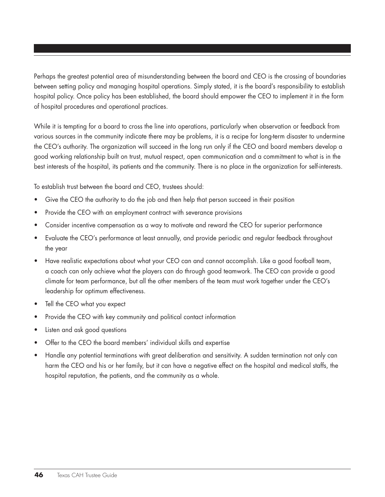Perhaps the greatest potential area of misunderstanding between the board and CEO is the crossing of boundaries between setting policy and managing hospital operations. Simply stated, it is the board's responsibility to establish hospital policy. Once policy has been established, the board should empower the CEO to implement it in the form of hospital procedures and operational practices.

While it is tempting for a board to cross the line into operations, particularly when observation or feedback from various sources in the community indicate there may be problems, it is a recipe for long-term disaster to undermine the CEO's authority. The organization will succeed in the long run only if the CEO and board members develop a good working relationship built on trust, mutual respect, open communication and a commitment to what is in the best interests of the hospital, its patients and the community. There is no place in the organization for self-interests.

To establish trust between the board and CEO, trustees should:

- Give the CEO the authority to do the job and then help that person succeed in their position
- Provide the CEO with an employment contract with severance provisions
- Consider incentive compensation as a way to motivate and reward the CEO for superior performance
- Evaluate the CEO's performance at least annually, and provide periodic and regular feedback throughout the year
- Have realistic expectations about what your CEO can and cannot accomplish. Like a good football team, a coach can only achieve what the players can do through good teamwork. The CEO can provide a good climate for team performance, but all the other members of the team must work together under the CEO's leadership for optimum effectiveness.
- Tell the CEO what you expect
- Provide the CEO with key community and political contact information
- Listen and ask good questions
- Offer to the CEO the board members' individual skills and expertise
- Handle any potential terminations with great deliberation and sensitivity. A sudden termination not only can harm the CEO and his or her family, but it can have a negative effect on the hospital and medical staffs, the hospital reputation, the patients, and the community as a whole.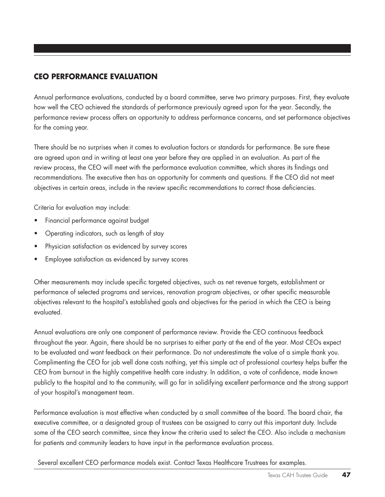# **Ceo performance evaluation**

Annual performance evaluations, conducted by a board committee, serve two primary purposes. First, they evaluate how well the CEO achieved the standards of performance previously agreed upon for the year. Secondly, the performance review process offers an opportunity to address performance concerns, and set performance objectives for the coming year.

There should be no surprises when it comes to evaluation factors or standards for performance. Be sure these are agreed upon and in writing at least one year before they are applied in an evaluation. As part of the review process, the CEO will meet with the performance evaluation committee, which shares its findings and recommendations. The executive then has an opportunity for comments and questions. If the CEO did not meet objectives in certain areas, include in the review specific recommendations to correct those deficiencies.

Criteria for evaluation may include:

- Financial performance against budget
- Operating indicators, such as length of stay
- Physician satisfaction as evidenced by survey scores
- Employee satisfaction as evidenced by survey scores

Other measurements may include specific targeted objectives, such as net revenue targets, establishment or performance of selected programs and services, renovation program objectives, or other specific measurable objectives relevant to the hospital's established goals and objectives for the period in which the CEO is being evaluated.

Annual evaluations are only one component of performance review. Provide the CEO continuous feedback throughout the year. Again, there should be no surprises to either party at the end of the year. Most CEOs expect to be evaluated and want feedback on their performance. Do not underestimate the value of a simple thank you. Complimenting the CEO for job well done costs nothing, yet this simple act of professional courtesy helps buffer the CEO from burnout in the highly competitive health care industry. In addition, a vote of confidence, made known publicly to the hospital and to the community, will go far in solidifying excellent performance and the strong support of your hospital's management team.

Performance evaluation is most effective when conducted by a small committee of the board. The board chair, the executive committee, or a designated group of trustees can be assigned to carry out this important duty. Include some of the CEO search committee, since they know the criteria used to select the CEO. Also include a mechanism for patients and community leaders to have input in the performance evaluation process.

Several excellent CEO performance models exist. Contact Texas Healthcare Trustrees for examples.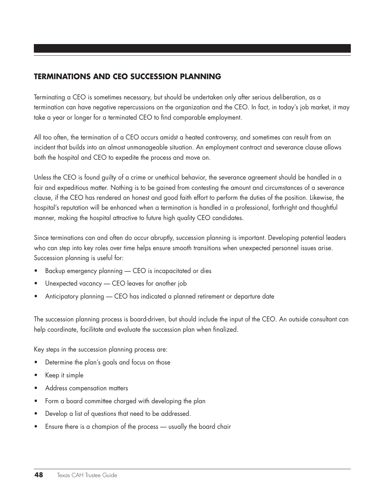# **Terminations and ceo succession planning**

Terminating a CEO is sometimes necessary, but should be undertaken only after serious deliberation, as a termination can have negative repercussions on the organization and the CEO. In fact, in today's job market, it may take a year or longer for a terminated CEO to find comparable employment.

All too often, the termination of a CEO occurs amidst a heated controversy, and sometimes can result from an incident that builds into an almost unmanageable situation. An employment contract and severance clause allows both the hospital and CEO to expedite the process and move on.

Unless the CEO is found guilty of a crime or unethical behavior, the severance agreement should be handled in a fair and expeditious matter. Nothing is to be gained from contesting the amount and circumstances of a severance clause, if the CEO has rendered an honest and good faith effort to perform the duties of the position. Likewise, the hospital's reputation will be enhanced when a termination is handled in a professional, forthright and thoughtful manner, making the hospital attractive to future high quality CEO candidates.

Since terminations can and often do occur abruptly, succession planning is important. Developing potential leaders who can step into key roles over time helps ensure smooth transitions when unexpected personnel issues arise. Succession planning is useful for:

- Backup emergency planning CEO is incapacitated or dies
- Unexpected vacancy CEO leaves for another job
- Anticipatory planning CEO has indicated a planned retirement or departure date

The succession planning process is board-driven, but should include the input of the CEO. An outside consultant can help coordinate, facilitate and evaluate the succession plan when finalized.

Key steps in the succession planning process are:

- Determine the plan's goals and focus on those
- Keep it simple
- Address compensation matters
- Form a board committee charged with developing the plan
- Develop a list of questions that need to be addressed.
- Ensure there is a champion of the process usually the board chair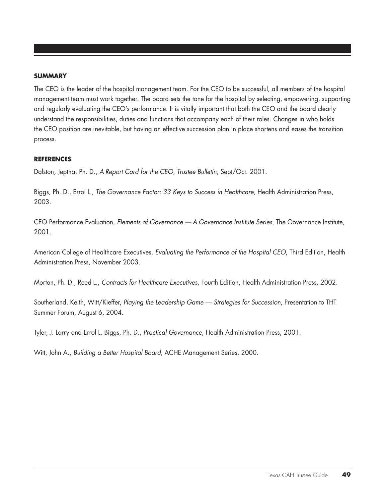#### **summary**

The CEO is the leader of the hospital management team. For the CEO to be successful, all members of the hospital management team must work together. The board sets the tone for the hospital by selecting, empowering, supporting and regularly evaluating the CEO's performance. It is vitally important that both the CEO and the board clearly understand the responsibilities, duties and functions that accompany each of their roles. Changes in who holds the CEO position are inevitable, but having an effective succession plan in place shortens and eases the transition process.

#### **references**

Dalston, Jeptha, Ph. D., *A Report Card for the CEO*, *Trustee Bulletin*, Sept/Oct. 2001.

Biggs, Ph. D., Errol L., *The Governance Factor: 33 Keys to Success in Healthcare, Health Administration Press*, 2003.

CEO Performance Evaluation, *Elements of Governance — A Governance Institute Series*, The Governance Institute, 2001.

American College of Healthcare Executives, *Evaluating the Performance of the Hospital CEO*, Third Edition, Health Administration Press, November 2003.

Morton, Ph. D., Reed L., *Contracts for Healthcare Executives*, Fourth Edition, Health Administration Press, 2002.

Southerland, Keith, Witt/Kieffer, *Playing the Leadership Game — Strategies for Succession*, Presentation to THT Summer Forum, August 6, 2004.

Tyler, J. Larry and Errol L. Biggs, Ph. D., *Practical Governance*, Health Administration Press, 2001.

Witt, John A., *Building a Better Hospital Board*, ACHE Management Series, 2000.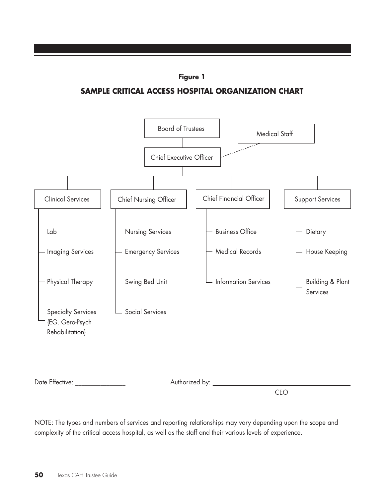

**Sample Critical Access Hospital Organization Chart**



Date Effective: \_\_\_\_\_\_\_\_\_\_\_\_\_\_\_\_ Authorized by: \_\_\_\_\_\_\_\_\_\_\_\_\_\_\_\_\_\_\_\_\_\_\_\_\_\_\_\_\_\_\_\_\_\_\_\_\_\_\_\_\_\_\_\_

CEO

NOTE: The types and numbers of services and reporting relationships may vary depending upon the scope and complexity of the critical access hospital, as well as the staff and their various levels of experience.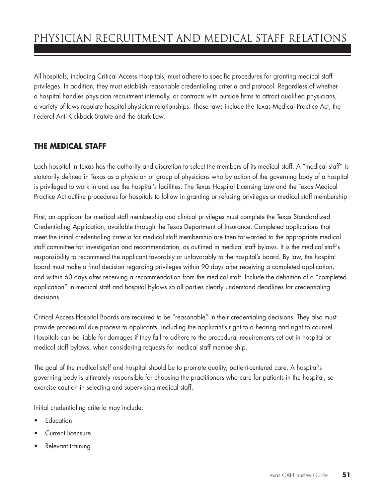All hospitals, including Critical Access Hospitals, must adhere to specific procedures for granting medical staff privileges. In addition, they must establish reasonable credentialing criteria and protocol. Regardless of whether a hospital handles physician recruitment internally, or contracts with outside firms to attract qualified physicians, a variety of laws regulate hospital-physician relationships. Those laws include the Texas Medical Practice Act, the Federal Anti-Kickback Statute and the Stark Law.

# **The Medical Staff**

Each hospital in Texas has the authority and discretion to select the members of its medical staff. A "medical staff" is statutorily defined in Texas as a physician or group of physicians who by action of the governing body of a hospital is privileged to work in and use the hospital's facilities. The Texas Hospital Licensing Law and the Texas Medical Practice Act outline procedures for hospitals to follow in granting or refusing privileges or medical staff membership

First, an applicant for medical staff membership and clinical privileges must complete the Texas Standardized Credentialing Application, available through the Texas Department of Insurance. Completed applications that meet the initial credentialing criteria for medical staff membership are then forwarded to the appropriate medical staff committee for investigation and recommendation, as outlined in medical staff bylaws. It is the medical staff's responsibility to recommend the applicant favorably or unfavorably to the hospital's board. By law, the hospital board must make a final decision regarding privileges within 90 days after receiving a completed application, and within 60 days after receiving a recommendation from the medical staff. Include the definition of a "completed application" in medical staff and hospital bylaws so all parties clearly understand deadlines for credentialing decisions.

Critical Access Hospital Boards are required to be "reasonable" in their credentialing decisions. They also must provide procedural due process to applicants, including the applicant's right to a hearing and right to counsel. Hospitals can be liable for damages if they fail to adhere to the procedural requirements set out in hospital or medical staff bylaws, when considering requests for medical staff membership.

The goal of the medical staff and hospital should be to promote quality, patient-centered care. A hospital's governing body is ultimately responsible for choosing the practitioners who care for patients in the hospital, so exercise caution in selecting and supervising medical staff.

Initial credentialing criteria may include:

- **Education**
- **Current licensure**
- Relevant training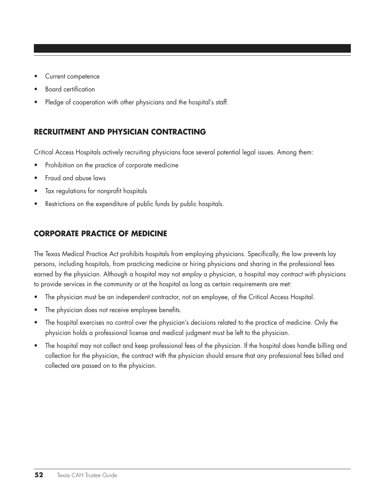- Current competence
- **Board certification**
- Pledge of cooperation with other physicians and the hospital's staff.

# **Recruitment and Physician Contracting**

Critical Access Hospitals actively recruiting physicians face several potential legal issues. Among them:

- Prohibition on the practice of corporate medicine
- Fraud and abuse laws
- Tax regulations for nonprofit hospitals
- Restrictions on the expenditure of public funds by public hospitals.

# **Corporate Practice of Medicine**

The Texas Medical Practice Act prohibits hospitals from employing physicians. Specifically, the law prevents lay persons, including hospitals, from practicing medicine or hiring physicians and sharing in the professional fees earned by the physician. Although a hospital may not *employ* a physician, a hospital may *contract with* physicians to provide services in the community or at the hospital as long as certain requirements are met:

- The physician must be an independent contractor, not an employee, of the Critical Access Hospital.
- The physician does not receive employee benefits.
- The hospital exercises no control over the physician's decisions related to the practice of medicine. Only the physician holds a professional license and medical judgment must be left to the physician.
- The hospital may not collect and keep professional fees of the physician. If the hospital does handle billing and collection for the physician, the contract with the physician should ensure that any professional fees billed and collected are passed on to the physician.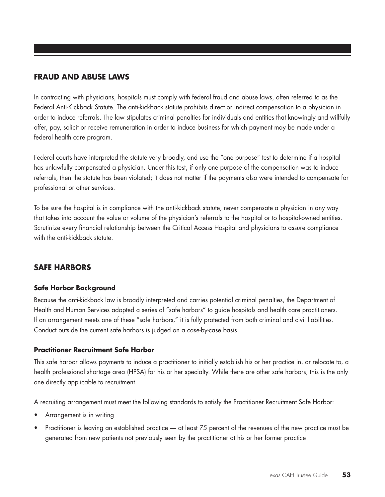### **Fraud and Abuse Laws**

In contracting with physicians, hospitals must comply with federal fraud and abuse laws, often referred to as the Federal Anti-Kickback Statute. The anti-kickback statute prohibits direct or indirect compensation to a physician in order to induce referrals. The law stipulates criminal penalties for individuals and entities that knowingly and willfully offer, pay, solicit or receive remuneration in order to induce business for which payment may be made under a federal health care program.

Federal courts have interpreted the statute very broadly, and use the "one purpose" test to determine if a hospital has unlawfully compensated a physician. Under this test, if only one purpose of the compensation was to induce referrals, then the statute has been violated; it does not matter if the payments also were intended to compensate for professional or other services.

To be sure the hospital is in compliance with the anti-kickback statute, never compensate a physician in any way that takes into account the value or volume of the physician's referrals to the hospital or to hospital-owned entities. Scrutinize every financial relationship between the Critical Access Hospital and physicians to assure compliance with the anti-kickback statute.

#### **safe harbors**

#### **Safe Harbor Background**

Because the anti-kickback law is broadly interpreted and carries potential criminal penalties, the Department of Health and Human Services adopted a series of "safe harbors" to guide hospitals and health care practitioners. If an arrangement meets one of these "safe harbors," it is fully protected from both criminal and civil liabilities. Conduct outside the current safe harbors is judged on a case-by-case basis.

#### **Practitioner Recruitment Safe Harbor**

This safe harbor allows payments to induce a practitioner to initially establish his or her practice in, or relocate to, a health professional shortage area (HPSA) for his or her specialty. While there are other safe harbors, this is the only one directly applicable to recruitment.

A recruiting arrangement must meet the following standards to satisfy the Practitioner Recruitment Safe Harbor:

- Arrangement is in writing
- Practitioner is leaving an established practice at least 75 percent of the revenues of the new practice must be generated from new patients not previously seen by the practitioner at his or her former practice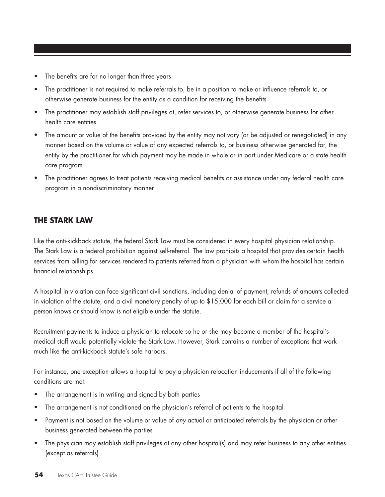- The benefits are for no longer than three years
- The practitioner is not required to make referrals to, be in a position to make or influence referrals to, or otherwise generate business for the entity as a condition for receiving the benefits
- The practitioner may establish staff privileges at, refer services to, or otherwise generate business for other health care entities
- The amount or value of the benefits provided by the entity may not vary (or be adjusted or renegotiated) in any manner based on the volume or value of any expected referrals to, or business otherwise generated for, the entity by the practitioner for which payment may be made in whole or in part under Medicare or a state health care program
- • The practitioner agrees to treat patients receiving medical benefits or assistance under any federal health care program in a nondiscriminatory manner

#### **The Stark Law**

Like the anti-kickback statute, the federal Stark Law must be considered in every hospital physician relationship. The Stark Law is a federal prohibition against self-referral. The law prohibits a hospital that provides certain health services from billing for services rendered to patients referred from a physician with whom the hospital has certain financial relationships.

A hospital in violation can face significant civil sanctions, including denial of payment, refunds of amounts collected in violation of the statute, and a civil monetary penalty of up to \$15,000 for each bill or claim for a service a person knows or should know is not eligible under the statute.

Recruitment payments to induce a physician to relocate so he or she may become a member of the hospital's medical staff would potentially violate the Stark Law. However, Stark contains a number of exceptions that work much like the anti-kickback statute's safe harbors.

For instance, one exception allows a hospital to pay a physician relocation inducements if all of the following conditions are met:

- The arrangement is in writing and signed by both parties
- The arrangement is not conditioned on the physician's referral of patients to the hospital
- • Payment is not based on the volume or value of *any* actual or anticipated referrals by the physician or other business generated between the parties
- The physician may establish staff privileges at any other hospital(s) and may refer business to any other entities (except as referrals)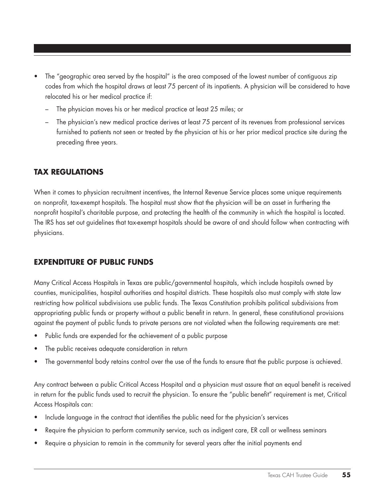- The "geographic area served by the hospital" is the area composed of the lowest number of contiguous zip codes from which the hospital draws at least 75 percent of its inpatients. A physician will be considered to have relocated his or her medical practice if:
	- The physician moves his or her medical practice at least 25 miles; or
	- The physician's new medical practice derives at least 75 percent of its revenues from professional services furnished to patients not seen or treated by the physician at his or her prior medical practice site during the preceding three years.

#### **Tax Regulations**

When it comes to physician recruitment incentives, the Internal Revenue Service places some unique requirements on nonprofit, tax-exempt hospitals. The hospital must show that the physician will be an asset in furthering the nonprofit hospital's charitable purpose, and protecting the health of the community in which the hospital is located. The IRS has set out guidelines that tax-exempt hospitals should be aware of and should follow when contracting with physicians.

#### **Expenditure of Public Funds**

Many Critical Access Hospitals in Texas are public/governmental hospitals, which include hospitals owned by counties, municipalities, hospital authorities and hospital districts. These hospitals also must comply with state law restricting how political subdivisions use public funds. The Texas Constitution prohibits political subdivisions from appropriating public funds or property without a public benefit in return. In general, these constitutional provisions against the payment of public funds to private persons are not violated when the following requirements are met:

- Public funds are expended for the achievement of a public purpose
- The public receives adequate consideration in return
- The governmental body retains control over the use of the funds to ensure that the public purpose is achieved.

Any contract between a public Critical Access Hospital and a physician must assure that an equal benefit is received in return for the public funds used to recruit the physician. To ensure the "public benefit" requirement is met, Critical Access Hospitals can:

- Include language in the contract that identifies the public need for the physician's services
- Require the physician to perform community service, such as indigent care, ER call or wellness seminars
- Require a physician to remain in the community for several years after the initial payments end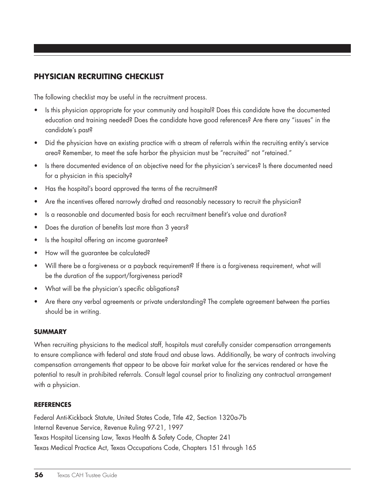# **Physician Recruiting Checklist**

The following checklist may be useful in the recruitment process.

- Is this physician appropriate for your community and hospital? Does this candidate have the documented education and training needed? Does the candidate have good references? Are there any "issues" in the candidate's past?
- • Did the physician have an existing practice with a stream of referrals within the recruiting entity's service area? Remember, to meet the safe harbor the physician must be "recruited" not "retained."
- Is there documented evidence of an objective need for the physician's services? Is there documented need for a physician in this specialty?
- • Has the hospital's board approved the terms of the recruitment?
- Are the incentives offered narrowly drafted and reasonably necessary to recruit the physician?
- Is a reasonable and documented basis for each recruitment benefit's value and duration?
- Does the duration of benefits last more than 3 years?
- Is the hospital offering an income guarantee?
- How will the guarantee be calculated?
- Will there be a forgiveness or a payback requirement? If there is a forgiveness requirement, what will be the duration of the support/forgiveness period?
- What will be the physician's specific obligations?
- Are there any verbal agreements or private understanding? The complete agreement between the parties should be in writing.

#### **Summary**

When recruiting physicians to the medical staff, hospitals must carefully consider compensation arrangements to ensure compliance with federal and state fraud and abuse laws. Additionally, be wary of contracts involving compensation arrangements that appear to be above fair market value for the services rendered or have the potential to result in prohibited referrals. Consult legal counsel prior to finalizing any contractual arrangement with a physician.

#### **References**

Federal Anti-Kickback Statute, United States Code, Title 42, Section 1320a-7b Internal Revenue Service, Revenue Ruling 97-21, 1997 Texas Hospital Licensing Law, Texas Health & Safety Code, Chapter 241 Texas Medical Practice Act, Texas Occupations Code, Chapters 151 through 165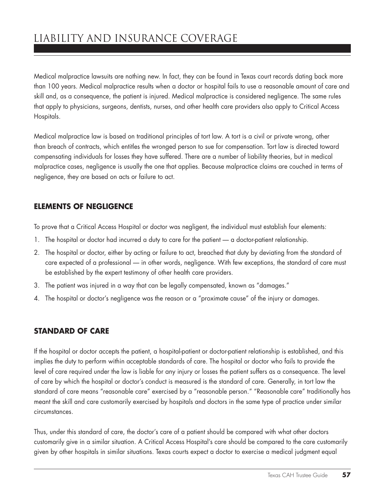Medical malpractice lawsuits are nothing new. In fact, they can be found in Texas court records dating back more than 100 years. Medical malpractice results when a doctor or hospital fails to use a reasonable amount of care and skill and, as a consequence, the patient is injured. Medical malpractice is considered negligence. The same rules that apply to physicians, surgeons, dentists, nurses, and other health care providers also apply to Critical Access Hospitals.

Medical malpractice law is based on traditional principles of tort law. A tort is a civil or private wrong, other than breach of contracts, which entitles the wronged person to sue for compensation. Tort law is directed toward compensating individuals for losses they have suffered. There are a number of liability theories, but in medical malpractice cases, negligence is usually the one that applies. Because malpractice claims are couched in terms of negligence, they are based on acts or failure to act.

# **elements of negligence**

To prove that a Critical Access Hospital or doctor was negligent, the individual must establish four elements:

- 1. The hospital or doctor had incurred a duty to care for the patient a doctor-patient relationship.
- 2. The hospital or doctor, either by acting or failure to act, breached that duty by deviating from the standard of care expected of a professional — in other words, negligence. With few exceptions, the standard of care must be established by the expert testimony of other health care providers.
- 3. The patient was injured in a way that can be legally compensated, known as "damages."
- 4. The hospital or doctor's negligence was the reason or a "proximate cause" of the injury or damages.

### **standard of care**

If the hospital or doctor accepts the patient, a hospital-patient or doctor-patient relationship is established, and this implies the duty to perform within acceptable standards of care. The hospital or doctor who fails to provide the level of care required under the law is liable for any injury or losses the patient suffers as a consequence. The level of care by which the hospital or doctor's conduct is measured is the standard of care. Generally, in tort law the standard of care means "reasonable care" exercised by a "reasonable person." "Reasonable care" traditionally has meant the skill and care customarily exercised by hospitals and doctors in the same type of practice under similar circumstances.

Thus, under this standard of care, the doctor's care of a patient should be compared with what other doctors customarily give in a similar situation. A Critical Access Hospital's care should be compared to the care customarily given by other hospitals in similar situations. Texas courts expect a doctor to exercise a medical judgment equal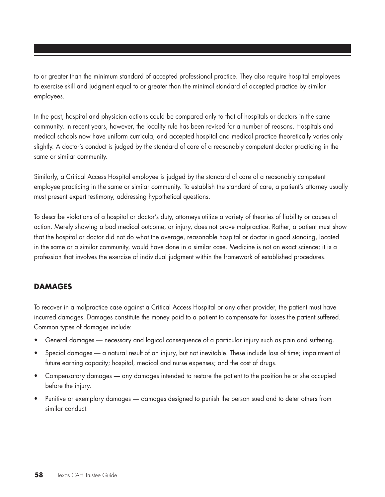to or greater than the minimum standard of accepted professional practice. They also require hospital employees to exercise skill and judgment equal to or greater than the minimal standard of accepted practice by similar employees.

In the past, hospital and physician actions could be compared only to that of hospitals or doctors in the same community. In recent years, however, the locality rule has been revised for a number of reasons. Hospitals and medical schools now have uniform curricula, and accepted hospital and medical practice theoretically varies only slightly. A doctor's conduct is judged by the standard of care of a reasonably competent doctor practicing in the same or similar community.

Similarly, a Critical Access Hospital employee is judged by the standard of care of a reasonably competent employee practicing in the same or similar community. To establish the standard of care, a patient's attorney usually must present expert testimony, addressing hypothetical questions.

To describe violations of a hospital or doctor's duty, attorneys utilize a variety of theories of liability or causes of action. Merely showing a bad medical outcome, or injury, does not prove malpractice. Rather, a patient must show that the hospital or doctor did not do what the average, reasonable hospital or doctor in good standing, located in the same or a similar community, would have done in a similar case. Medicine is not an exact science; it is a profession that involves the exercise of individual judgment within the framework of established procedures.

#### **damages**

To recover in a malpractice case against a Critical Access Hospital or any other provider, the patient must have incurred damages. Damages constitute the money paid to a patient to compensate for losses the patient suffered. Common types of damages include:

- General damages necessary and logical consequence of a particular injury such as pain and suffering.
- Special damages a natural result of an injury, but not inevitable. These include loss of time; impairment of future earning capacity; hospital, medical and nurse expenses; and the cost of drugs.
- • Compensatory damages any damages intended to restore the patient to the position he or she occupied before the injury.
- Punitive or exemplary damages damages designed to punish the person sued and to deter others from similar conduct.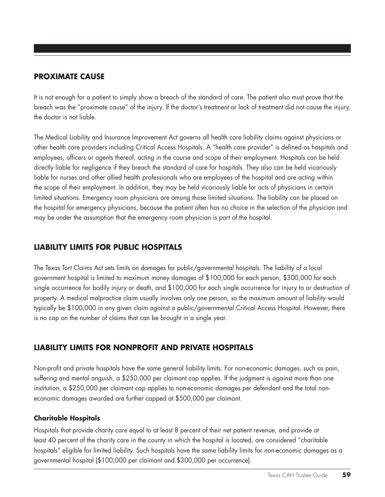### **proximate cause**

It is not enough for a patient to simply show a breach of the standard of care. The patient also must prove that the breach was the "proximate cause" of the injury. If the doctor's treatment or lack of treatment did not cause the injury, the doctor is not liable.

The Medical Liability and Insurance Improvement Act governs all health care liability claims against physicians or other health care providers including Critical Access Hospitals. A "health care provider" is defined as hospitals and employees, officers or agents thereof, acting in the course and scope of their employment. Hospitals can be held directly liable for negligence if they breach the standard of care for hospitals. They also can be held vicariously liable for nurses and other allied health professionals who are employees of the hospital and are acting within the scope of their employment. In addition, they may be held vicariously liable for acts of physicians in certain limited situations. Emergency room physicians are among those limited situations. The liability can be placed on the hospital for emergency physicians, because the patient often has no choice in the selection of the physician and may be under the assumption that the emergency room physician is part of the hospital.

### **LIABILITY LIMITS FOR PUBLIC HOSPITALS**

The Texas Tort Claims Act sets limits on damages for public/governmental hospitals. The liability of a local government hospital is limited to maximum money damages of \$100,000 for each person, \$300,000 for each single occurrence for bodily injury or death, and \$100,000 for each single occurrence for injury to or destruction of property. A medical malpractice claim usually involves only one person, so the maximum amount of liability would typically be \$100,000 in any given claim against a public/governmental Critical Access Hospital. However, there is no cap on the number of claims that can be brought in a single year.

# **LIABILITY LIMITS FOR NONPROFIT AND PRIVATE HOSPITALS**

Non-profit and private hospitals have the same general liability limits. For non-economic damages, such as pain, suffering and mental anguish, a \$250,000 per claimant cap applies. If the judgment is against more than one institution, a \$250,000 per claimant cap applies to non-economic damages per defendant and the total noneconomic damages awarded are further capped at \$500,000 per claimant.

#### **Charitable Hospitals**

Hospitals that provide charity care equal to at least 8 percent of their net patient revenue, and provide at least 40 percent of the charity care in the county in which the hospital is located, are considered "charitable hospitals" eligible for limited liability. Such hospitals have the same liability limits for non-economic damages as a governmental hospital (\$100,000 per claimant and \$300,000 per occurrence).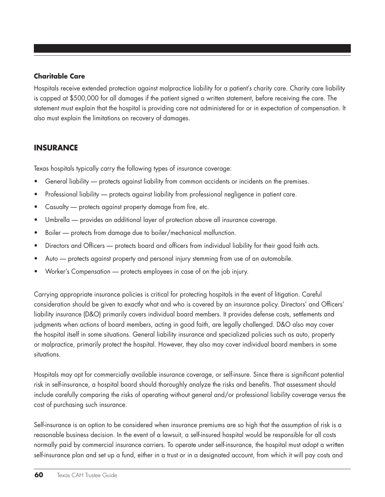#### **Charitable Care**

Hospitals receive extended protection against malpractice liability for a patient's charity care. Charity care liability is capped at \$500,000 for all damages if the patient signed a written statement, before receiving the care. The statement must explain that the hospital is providing care not administered for or in expectation of compensation. It also must explain the limitations on recovery of damages.

# **insurance**

Texas hospitals typically carry the following types of insurance coverage:

- General liability protects against liability from common accidents or incidents on the premises.
- Professional liability protects against liability from professional negligence in patient care.
- Casualty protects against property damage from fire, etc.
- Umbrella provides an additional layer of protection above all insurance coverage.
- Boiler protects from damage due to boiler/mechanical malfunction.
- Directors and Officers protects board and officers from individual liability for their good faith acts.
- Auto protects against property and personal injury stemming from use of an automobile.
- Worker's Compensation protects employees in case of on the job injury.

Carrying appropriate insurance policies is critical for protecting hospitals in the event of litigation. Careful consideration should be given to exactly what and who is covered by an insurance policy. Directors' and Officers' liability insurance (D&O) primarily covers individual board members. It provides defense costs, settlements and judgments when actions of board members, acting in good faith, are legally challenged. D&O also may cover the hospital itself in some situations. General liability insurance and specialized policies such as auto, property or malpractice, primarily protect the hospital. However, they also may cover individual board members in some situations.

Hospitals may opt for commercially available insurance coverage, or self-insure. Since there is significant potential risk in self-insurance, a hospital board should thoroughly analyze the risks and benefits. That assessment should include carefully comparing the risks of operating without general and/or professional liability coverage versus the cost of purchasing such insurance.

Self-insurance is an option to be considered when insurance premiums are so high that the assumption of risk is a reasonable business decision. In the event of a lawsuit, a self-insured hospital would be responsible for all costs normally paid by commercial insurance carriers. To operate under self-insurance, the hospital must adopt a written self-insurance plan and set up a fund, either in a trust or in a designated account, from which it will pay costs and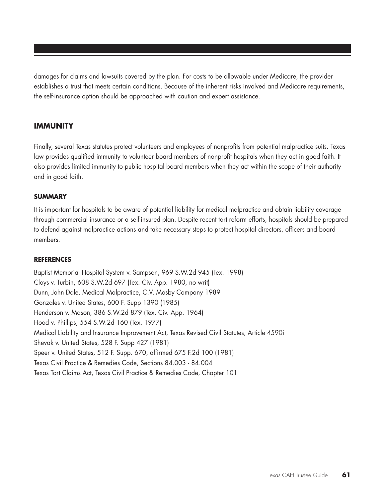damages for claims and lawsuits covered by the plan. For costs to be allowable under Medicare, the provider establishes a trust that meets certain conditions. Because of the inherent risks involved and Medicare requirements, the self-insurance option should be approached with caution and expert assistance.

#### **immunity**

Finally, several Texas statutes protect volunteers and employees of nonprofits from potential malpractice suits. Texas law provides qualified immunity to volunteer board members of nonprofit hospitals when they act in good faith. It also provides limited immunity to public hospital board members when they act within the scope of their authority and in good faith.

#### **Summary**

It is important for hospitals to be aware of potential liability for medical malpractice and obtain liability coverage through commercial insurance or a self-insured plan. Despite recent tort reform efforts, hospitals should be prepared to defend against malpractice actions and take necessary steps to protect hospital directors, officers and board members.

#### **References**

Baptist Memorial Hospital System v. Sampson, 969 S.W.2d 945 (Tex. 1998) Cloys v. Turbin, 608 S.W.2d 697 (Tex. Civ. App. 1980, no writ) Dunn, John Dale, Medical Malpractice, C.V. Mosby Company 1989 Gonzales v. United States, 600 F. Supp 1390 (1985) Henderson v. Mason, 386 S.W.2d 879 (Tex. Civ. App. 1964) Hood v. Phillips, 554 S.W.2d 160 (Tex. 1977) Medical Liability and Insurance Improvement Act, Texas Revised Civil Statutes, Article 4590i Shevak v. United States, 528 F. Supp 427 (1981) Speer v. United States, 512 F. Supp. 670, affirmed 675 F.2d 100 (1981) Texas Civil Practice & Remedies Code, Sections 84.003 - 84.004 Texas Tort Claims Act, Texas Civil Practice & Remedies Code, Chapter 101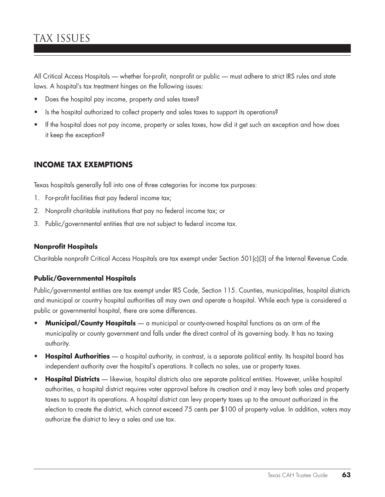# tax issues

All Critical Access Hospitals — whether for-profit, nonprofit or public — must adhere to strict IRS rules and state laws. A hospital's tax treatment hinges on the following issues:

- Does the hospital pay income, property and sales taxes?
- Is the hospital authorized to collect property and sales taxes to support its operations?
- If the hospital does not pay income, property or sales taxes, how did it get such an exception and how does it keep the exception?

### **INCOME TAX EXEMPTIONS**

Texas hospitals generally fall into one of three categories for income tax purposes:

- 1. For-profit facilities that pay federal income tax;
- 2. Nonprofit charitable institutions that pay no federal income tax; or
- 3. Public/governmental entities that are not subject to federal income tax.

#### **Nonprofit Hospitals**

Charitable nonprofit Critical Access Hospitals are tax exempt under Section 501(c)(3) of the Internal Revenue Code.

#### **Public/Governmental Hospitals**

Public/governmental entities are tax exempt under IRS Code, Section 115. Counties, municipalities, hospital districts and municipal or country hospital authorities all may own and operate a hospital. While each type is considered a public or governmental hospital, there are some differences.

- **Municipal/County Hospitals** a municipal or county-owned hospital functions as an arm of the municipality or county government and falls under the direct control of its governing body. It has no taxing authority.
- • **Hospital Authorities** a hospital authority, in contrast, is a separate political entity. Its hospital board has independent authority over the hospital's operations. It collects no sales, use or property taxes.
- Hospital Districts likewise, hospital districts also are separate political entities. However, unlike hospital authorities, a hospital district requires voter approval before its creation and it may levy both sales and property taxes to support its operations. A hospital district can levy property taxes up to the amount authorized in the election to create the district, which cannot exceed 75 cents per \$100 of property value. In addition, voters may authorize the district to levy a sales and use tax.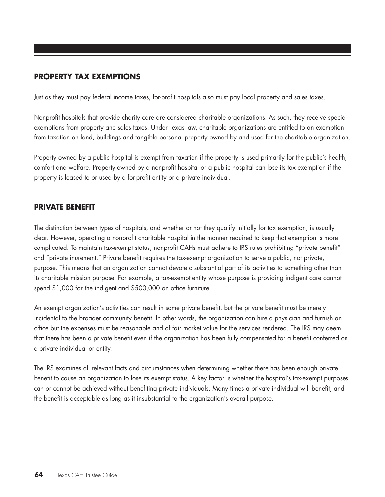# **PROPERTY TAX EXEMPTIONS**

Just as they must pay federal income taxes, for-profit hospitals also must pay local property and sales taxes.

Nonprofit hospitals that provide charity care are considered charitable organizations. As such, they receive special exemptions from property and sales taxes. Under Texas law, charitable organizations are entitled to an exemption from taxation on land, buildings and tangible personal property owned by and used for the charitable organization.

Property owned by a public hospital is exempt from taxation if the property is used primarily for the public's health, comfort and welfare. Property owned by a nonprofit hospital or a public hospital can lose its tax exemption if the property is leased to or used by a for-profit entity or a private individual.

### **PRIVATE BENEFIT**

The distinction between types of hospitals, and whether or not they qualify initially for tax exemption, is usually clear. However, operating a nonprofit charitable hospital in the manner required to keep that exemption is more complicated. To maintain tax-exempt status, nonprofit CAHs must adhere to IRS rules prohibiting "private benefit" and "private inurement." Private benefit requires the tax-exempt organization to serve a public, not private, purpose. This means that an organization cannot devote a substantial part of its activities to something other than its charitable mission purpose. For example, a tax-exempt entity whose purpose is providing indigent care cannot spend \$1,000 for the indigent and \$500,000 on office furniture.

An exempt organization's activities can result in some private benefit, but the private benefit must be merely incidental to the broader community benefit. In other words, the organization can hire a physician and furnish an office but the expenses must be reasonable and of fair market value for the services rendered. The IRS may deem that there has been a private benefit even if the organization has been fully compensated for a benefit conferred on a private individual or entity.

The IRS examines all relevant facts and circumstances when determining whether there has been enough private benefit to cause an organization to lose its exempt status. A key factor is whether the hospital's tax-exempt purposes can or cannot be achieved without benefiting private individuals. Many times a private individual will benefit, and the benefit is acceptable as long as it insubstantial to the organization's overall purpose.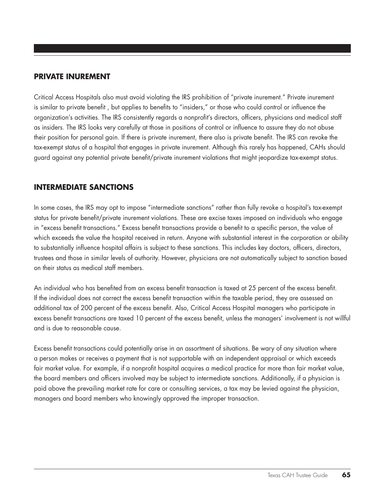#### **PRIVATE INUREMENT**

Critical Access Hospitals also must avoid violating the IRS prohibition of "private inurement." Private inurement is similar to private benefit , but applies to benefits to "insiders," or those who could control or influence the organization's activities. The IRS consistently regards a nonprofit's directors, officers, physicians and medical staff as insiders. The IRS looks very carefully at those in positions of control or influence to assure they do not abuse their position for personal gain. If there is private inurement, there also is private benefit. The IRS can revoke the tax-exempt status of a hospital that engages in private inurement. Although this rarely has happened, CAHs should guard against any potential private benefit/private inurement violations that might jeopardize tax-exempt status.

### **INTERMEDIATE SANCTIONS**

In some cases, the IRS may opt to impose "intermediate sanctions" rather than fully revoke a hospital's tax-exempt status for private benefit/private inurement violations. These are excise taxes imposed on individuals who engage in "excess benefit transactions." Excess benefit transactions provide a benefit to a specific person, the value of which exceeds the value the hospital received in return. Anyone with substantial interest in the corporation or ability to substantially influence hospital affairs is subject to these sanctions. This includes key doctors, officers, directors, trustees and those in similar levels of authority. However, physicians are not automatically subject to sanction based on their status as medical staff members.

An individual who has benefited from an excess benefit transaction is taxed at 25 percent of the excess benefit. If the individual does not correct the excess benefit transaction within the taxable period, they are assessed an additional tax of 200 percent of the excess benefit. Also, Critical Access Hospital managers who participate in excess benefit transactions are taxed 10 percent of the excess benefit, unless the managers' involvement is not willful and is due to reasonable cause.

Excess benefit transactions could potentially arise in an assortment of situations. Be wary of any situation where a person makes or receives a payment that is not supportable with an independent appraisal or which exceeds fair market value. For example, if a nonprofit hospital acquires a medical practice for more than fair market value, the board members and officers involved may be subject to intermediate sanctions. Additionally, if a physician is paid above the prevailing market rate for care or consulting services, a tax may be levied against the physician, managers and board members who knowingly approved the improper transaction.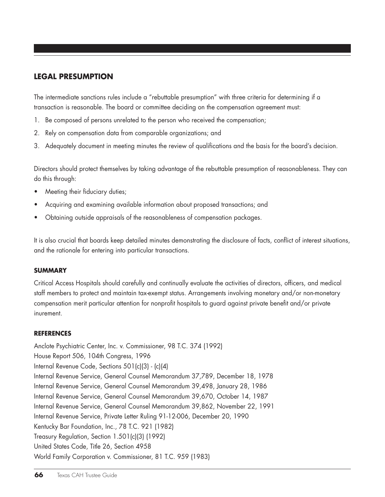#### **LEGAL PRESUMPTION**

The intermediate sanctions rules include a "rebuttable presumption" with three criteria for determining if a transaction is reasonable. The board or committee deciding on the compensation agreement must:

- 1. Be composed of persons unrelated to the person who received the compensation;
- 2. Rely on compensation data from comparable organizations; and
- 3. Adequately document in meeting minutes the review of qualifications and the basis for the board's decision.

Directors should protect themselves by taking advantage of the rebuttable presumption of reasonableness. They can do this through:

- Meeting their fiduciary duties;
- Acquiring and examining available information about proposed transactions; and
- Obtaining outside appraisals of the reasonableness of compensation packages.

It is also crucial that boards keep detailed minutes demonstrating the disclosure of facts, conflict of interest situations, and the rationale for entering into particular transactions.

#### **Summary**

Critical Access Hospitals should carefully and continually evaluate the activities of directors, officers, and medical staff members to protect and maintain tax-exempt status. Arrangements involving monetary and/or non-monetary compensation merit particular attention for nonprofit hospitals to guard against private benefit and/or private inurement.

#### **References**

Anclote Psychiatric Center, Inc. v. Commissioner, 98 T.C. 374 (1992) House Report 506, 104th Congress, 1996 Internal Revenue Code, Sections 501(c)(3) - (c)(4) Internal Revenue Service, General Counsel Memorandum 37,789, December 18, 1978 Internal Revenue Service, General Counsel Memorandum 39,498, January 28, 1986 Internal Revenue Service, General Counsel Memorandum 39,670, October 14, 1987 Internal Revenue Service, General Counsel Memorandum 39,862, November 22, 1991 Internal Revenue Service, Private Letter Ruling 91-12-006, December 20, 1990 Kentucky Bar Foundation, Inc., 78 T.C. 921 (1982) Treasury Regulation, Section 1.501(c)(3) (1992) United States Code, Title 26, Section 4958 World Family Corporation v. Commissioner, 81 T.C. 959 (1983)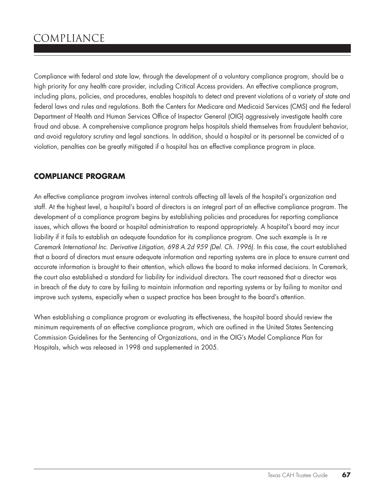# compliance

Compliance with federal and state law, through the development of a voluntary compliance program, should be a high priority for any health care provider, including Critical Access providers. An effective compliance program, including plans, policies, and procedures, enables hospitals to detect and prevent violations of a variety of state and federal laws and rules and regulations. Both the Centers for Medicare and Medicaid Services (CMS) and the federal Department of Health and Human Services Office of Inspector General (OIG) aggressively investigate health care fraud and abuse. A comprehensive compliance program helps hospitals shield themselves from fraudulent behavior, and avoid regulatory scrutiny and legal sanctions. In addition, should a hospital or its personnel be convicted of a violation, penalties can be greatly mitigated if a hospital has an effective compliance program in place.

### **compliance program**

An effective compliance program involves internal controls affecting all levels of the hospital's organization and staff. At the highest level, a hospital's board of directors is an integral part of an effective compliance program. The development of a compliance program begins by establishing policies and procedures for reporting compliance issues, which allows the board or hospital administration to respond appropriately. A hospital's board may incur liability if it fails to establish an adequate foundation for its compliance program. One such example is *In re Caremark International Inc. Derivative Litigation, 698 A.2d 959 (Del. Ch. 1996)*. In this case, the court established that a board of directors must ensure adequate information and reporting systems are in place to ensure current and accurate information is brought to their attention, which allows the board to make informed decisions. In Caremark, the court also established a standard for liability for individual directors. The court reasoned that a director was in breach of the duty to care by failing to maintain information and reporting systems or by failing to monitor and improve such systems, especially when a suspect practice has been brought to the board's attention.

When establishing a compliance program or evaluating its effectiveness, the hospital board should review the minimum requirements of an effective compliance program, which are outlined in the United States Sentencing Commission Guidelines for the Sentencing of Organizations, and in the OIG's Model Compliance Plan for Hospitals, which was released in 1998 and supplemented in 2005.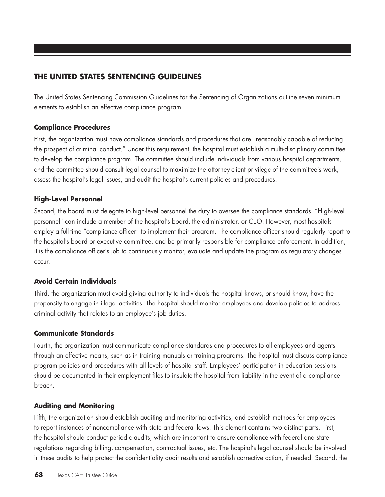# **The United States Sentencing Guidelines**

The United States Sentencing Commission Guidelines for the Sentencing of Organizations outline seven minimum elements to establish an effective compliance program.

#### **Compliance Procedures**

First, the organization must have compliance standards and procedures that are "reasonably capable of reducing the prospect of criminal conduct." Under this requirement, the hospital must establish a multi-disciplinary committee to develop the compliance program. The committee should include individuals from various hospital departments, and the committee should consult legal counsel to maximize the attorney-client privilege of the committee's work, assess the hospital's legal issues, and audit the hospital's current policies and procedures.

#### **High-Level Personnel**

Second, the board must delegate to high-level personnel the duty to oversee the compliance standards. "High-level personnel" can include a member of the hospital's board, the administrator, or CEO. However, most hospitals employ a full-time "compliance officer" to implement their program. The compliance officer should regularly report to the hospital's board or executive committee, and be primarily responsible for compliance enforcement. In addition, it is the compliance officer's job to continuously monitor, evaluate and update the program as regulatory changes occur.

#### **Avoid Certain Individuals**

Third, the organization must avoid giving authority to individuals the hospital knows, or should know, have the propensity to engage in illegal activities. The hospital should monitor employees and develop policies to address criminal activity that relates to an employee's job duties.

#### **Communicate Standards**

Fourth, the organization must communicate compliance standards and procedures to all employees and agents through an effective means, such as in training manuals or training programs. The hospital must discuss compliance program policies and procedures with all levels of hospital staff. Employees' participation in education sessions should be documented in their employment files to insulate the hospital from liability in the event of a compliance breach.

#### **Auditing and Monitoring**

Fifth, the organization should establish auditing and monitoring activities, and establish methods for employees to report instances of noncompliance with state and federal laws. This element contains two distinct parts. First, the hospital should conduct periodic audits, which are important to ensure compliance with federal and state regulations regarding billing, compensation, contractual issues, etc. The hospital's legal counsel should be involved in these audits to help protect the confidentiality audit results and establish corrective action, if needed. Second, the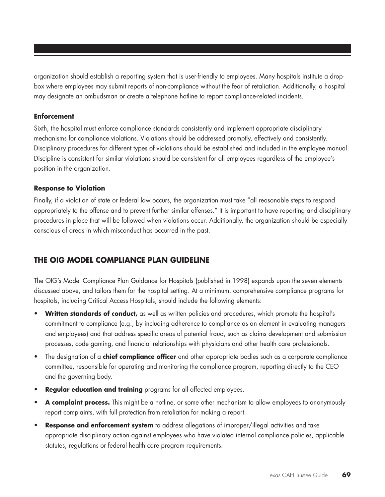organization should establish a reporting system that is user-friendly to employees. Many hospitals institute a dropbox where employees may submit reports of non-compliance without the fear of retaliation. Additionally, a hospital may designate an ombudsman or create a telephone hotline to report compliance-related incidents.

#### **Enforcement**

Sixth, the hospital must enforce compliance standards consistently and implement appropriate disciplinary mechanisms for compliance violations. Violations should be addressed promptly, effectively and consistently. Disciplinary procedures for different types of violations should be established and included in the employee manual. Discipline is consistent for similar violations should be consistent for all employees regardless of the employee's position in the organization.

#### **Response to Violation**

Finally, if a violation of state or federal law occurs, the organization must take "all reasonable steps to respond appropriately to the offense and to prevent further similar offenses." It is important to have reporting and disciplinary procedures in place that will be followed when violations occur. Additionally, the organization should be especially conscious of areas in which misconduct has occurred in the past.

### **The OIG Model Compliance Plan Guideline**

The OIG's Model Compliance Plan Guidance for Hospitals (published in 1998) expands upon the seven elements discussed above, and tailors them for the hospital setting. At a minimum, comprehensive compliance programs for hospitals, including Critical Access Hospitals, should include the following elements:

- **Written standards of conduct,** as well as written policies and procedures, which promote the hospital's commitment to compliance (e.g., by including adherence to compliance as an element in evaluating managers and employees) and that address specific areas of potential fraud, such as claims development and submission processes, code gaming, and financial relationships with physicians and other health care professionals.
- The designation of a **chief compliance officer** and other appropriate bodies such as a corporate compliance committee, responsible for operating and monitoring the compliance program, reporting directly to the CEO and the governing body.
- **Regular education and training** programs for all affected employees.
- • **A complaint process.** This might be a hotline, or some other mechanism to allow employees to anonymously report complaints, with full protection from retaliation for making a report.
- **Response and enforcement system** to address allegations of improper/illegal activities and take appropriate disciplinary action against employees who have violated internal compliance policies, applicable statutes, regulations or federal health care program requirements.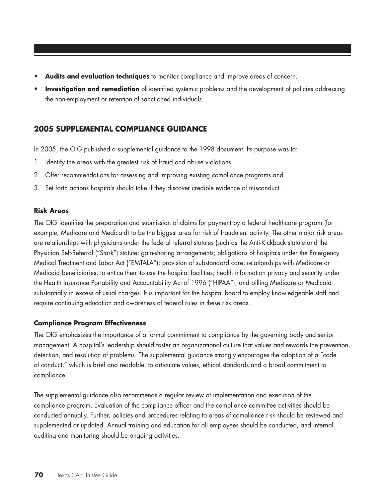- Audits and evaluation techniques to monitor compliance and improve areas of concern.
- **Investigation and remediation** of identified systemic problems and the development of policies addressing the non-employment or retention of sanctioned individuals.

### **2005 SUPPLEMENTAL COMPLIANCE GUIDANCE**

In 2005, the OIG published a supplemental guidance to the 1998 document. Its purpose was to:

- 1. Identify the areas with the greatest risk of fraud and abuse violations
- 2. Offer recommendations for assessing and improving existing compliance programs and
- 3. Set forth actions hospitals should take if they discover credible evidence of misconduct.

#### **Risk Areas**

The OIG identifies the preparation and submission of claims for payment by a federal healthcare program (for example, Medicare and Medicaid) to be the biggest area for risk of fraudulent activity. The other major risk areas are relationships with physicians under the federal referral statutes (such as the Anti-Kickback statute and the Physician Self-Referral ("Stark") statute; gain-sharing arrangements; obligations of hospitals under the Emergency Medical Treatment and Labor Act ("EMTALA"); provision of substandard care; relationships with Medicare or Medicaid beneficiaries, to entice them to use the hospital facilities; health information privacy and security under the Health Insurance Portability and Accountability Act of 1996 ("HIPAA"); and billing Medicare or Medicaid substantially in excess of usual charges. It is important for the hospital board to employ knowledgeable staff and require continuing education and awareness of federal rules in these risk areas.

#### **Compliance Program Effectiveness**

The OIG emphasizes the importance of a formal commitment to compliance by the governing body and senior management. A hospital's leadership should foster an organizational culture that values and rewards the prevention, detection, and resolution of problems. The supplemental guidance strongly encourages the adoption of a "code of conduct," which is brief and readable, to articulate values, ethical standards and a broad commitment to compliance.

The supplemental guidance also recommends a regular review of implementation and execution of the compliance program. Evaluation of the compliance officer and the compliance committee activities should be conducted annually. Further, policies and procedures relating to areas of compliance risk should be reviewed and supplemented or updated. Annual training and education for all employees should be conducted, and internal auditing and monitoring should be ongoing activities.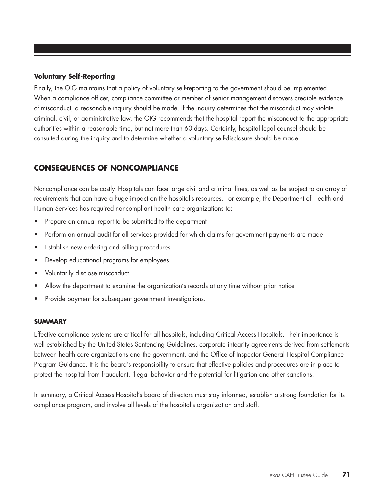#### **Voluntary Self-Reporting**

Finally, the OIG maintains that a policy of voluntary self-reporting to the government should be implemented. When a compliance officer, compliance committee or member of senior management discovers credible evidence of misconduct, a reasonable inquiry should be made. If the inquiry determines that the misconduct may violate criminal, civil, or administrative law, the OIG recommends that the hospital report the misconduct to the appropriate authorities within a reasonable time, but not more than 60 days. Certainly, hospital legal counsel should be consulted during the inquiry and to determine whether a voluntary self-disclosure should be made.

# **CONSEQUENCES OF NONCOMPLIANCE**

Noncompliance can be costly. Hospitals can face large civil and criminal fines, as well as be subject to an array of requirements that can have a huge impact on the hospital's resources. For example, the Department of Health and Human Services has required noncompliant health care organizations to:

- Prepare an annual report to be submitted to the department
- Perform an annual audit for all services provided for which claims for government payments are made
- Establish new ordering and billing procedures
- Develop educational programs for employees
- Voluntarily disclose misconduct
- Allow the department to examine the organization's records at any time without prior notice
- Provide payment for subsequent government investigations.

#### **summary**

Effective compliance systems are critical for all hospitals, including Critical Access Hospitals. Their importance is well established by the United States Sentencing Guidelines, corporate integrity agreements derived from settlements between health care organizations and the government, and the Office of Inspector General Hospital Compliance Program Guidance. It is the board's responsibility to ensure that effective policies and procedures are in place to protect the hospital from fraudulent, illegal behavior and the potential for litigation and other sanctions.

In summary, a Critical Access Hospital's board of directors must stay informed, establish a strong foundation for its compliance program, and involve all levels of the hospital's organization and staff.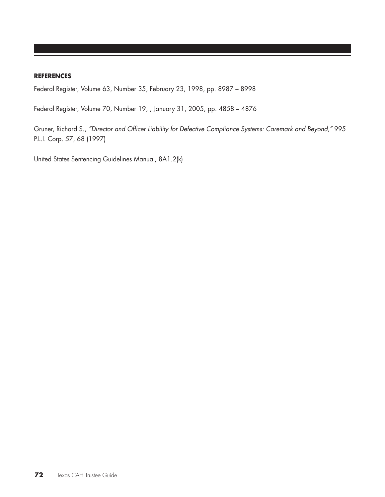#### **References**

Federal Register, Volume 63, Number 35, February 23, 1998, pp. 8987 – 8998

Federal Register, Volume 70, Number 19, , January 31, 2005, pp. 4858 – 4876

Gruner, Richard S., *"Director and Officer Liability for Defective Compliance Systems: Caremark and Beyond,"* 995 P.L.I. Corp. 57, 68 (1997)

United States Sentencing Guidelines Manual, 8A1.2(k)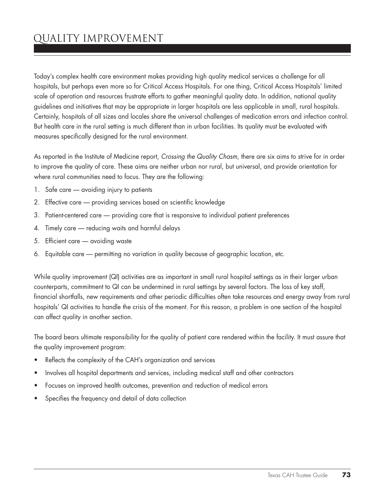# quality improvement

Today's complex health care environment makes providing high quality medical services a challenge for all hospitals, but perhaps even more so for Critical Access Hospitals. For one thing, Critical Access Hospitals' limited scale of operation and resources frustrate efforts to gather meaningful quality data. In addition, national quality guidelines and initiatives that may be appropriate in larger hospitals are less applicable in small, rural hospitals. Certainly, hospitals of all sizes and locales share the universal challenges of medication errors and infection control. But health care in the rural setting is much different than in urban facilities. Its quality must be evaluated with measures specifically designed for the rural environment.

As reported in the Institute of Medicine report, *Crossing the Quality Chasm*, there are six aims to strive for in order to improve the quality of care. These aims are neither urban nor rural, but universal, and provide orientation for where rural communities need to focus. They are the following:

- 1. Safe care avoiding injury to patients
- 2. Effective care providing services based on scientific knowledge
- 3. Patient-centered care providing care that is responsive to individual patient preferences
- 4. Timely care reducing waits and harmful delays
- 5. Efficient care avoiding waste
- 6. Equitable care permitting no variation in quality because of geographic location, etc.

While quality improvement (QI) activities are as important in small rural hospital settings as in their larger urban counterparts, commitment to QI can be undermined in rural settings by several factors. The loss of key staff, financial shortfalls, new requirements and other periodic difficulties often take resources and energy away from rural hospitals' QI activities to handle the crisis of the moment. For this reason, a problem in one section of the hospital can affect quality in another section.

The board bears ultimate responsibility for the quality of patient care rendered within the facility. It must assure that the quality improvement program:

- Reflects the complexity of the CAH's organization and services
- Involves all hospital departments and services, including medical staff and other contractors
- Focuses on improved health outcomes, prevention and reduction of medical errors
- Specifies the frequency and detail of data collection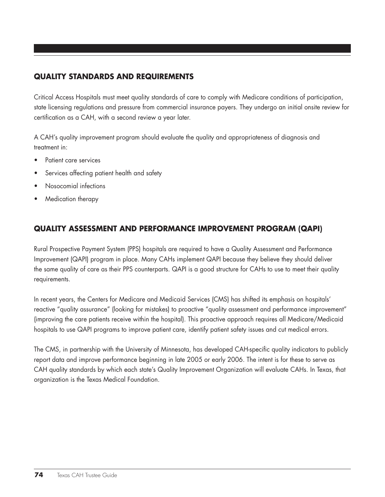# **QUALITY STANDARDS AND REQUIREMENTS**

Critical Access Hospitals must meet quality standards of care to comply with Medicare conditions of participation, state licensing regulations and pressure from commercial insurance payers. They undergo an initial onsite review for certification as a CAH, with a second review a year later.

A CAH's quality improvement program should evaluate the quality and appropriateness of diagnosis and treatment in:

- Patient care services
- Services affecting patient health and safety
- Nosocomial infections
- Medication therapy

# **QUALITY ASSESSMENT AND PERFORMANCE IMPROVEMENT PROGRAM (QAPI)**

Rural Prospective Payment System (PPS) hospitals are required to have a Quality Assessment and Performance Improvement (QAPI) program in place. Many CAHs implement QAPI because they believe they should deliver the same quality of care as their PPS counterparts. QAPI is a good structure for CAHs to use to meet their quality requirements.

In recent years, the Centers for Medicare and Medicaid Services (CMS) has shifted its emphasis on hospitals' reactive "quality assurance" (looking for mistakes) to proactive "quality assessment and performance improvement" (improving the care patients receive within the hospital). This proactive approach requires all Medicare/Medicaid hospitals to use QAPI programs to improve patient care, identify patient safety issues and cut medical errors.

The CMS, in partnership with the University of Minnesota, has developed CAH-specific quality indicators to publicly report data and improve performance beginning in late 2005 or early 2006. The intent is for these to serve as CAH quality standards by which each state's Quality Improvement Organization will evaluate CAHs. In Texas, that organization is the Texas Medical Foundation.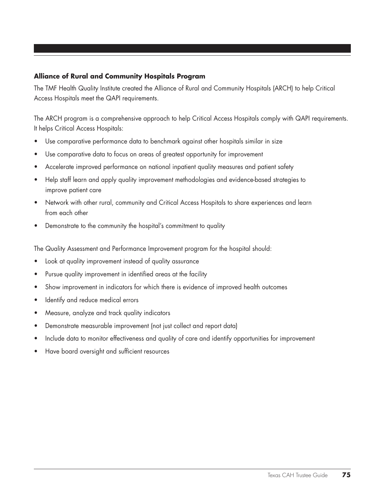## **Alliance of Rural and Community Hospitals Program**

The TMF Health Quality Institute created the Alliance of Rural and Community Hospitals (ARCH) to help Critical Access Hospitals meet the QAPI requirements.

The ARCH program is a comprehensive approach to help Critical Access Hospitals comply with QAPI requirements. It helps Critical Access Hospitals:

- Use comparative performance data to benchmark against other hospitals similar in size
- Use comparative data to focus on areas of greatest opportunity for improvement
- • Accelerate improved performance on national inpatient quality measures and patient safety
- Help staff learn and apply quality improvement methodologies and evidence-based strategies to improve patient care
- Network with other rural, community and Critical Access Hospitals to share experiences and learn from each other
- Demonstrate to the community the hospital's commitment to quality

The Quality Assessment and Performance Improvement program for the hospital should:

- Look at quality improvement instead of quality assurance
- Pursue quality improvement in identified areas at the facility
- Show improvement in indicators for which there is evidence of improved health outcomes
- • Identify and reduce medical errors
- Measure, analyze and track quality indicators
- Demonstrate measurable improvement (not just collect and report data)
- Include data to monitor effectiveness and quality of care and identify opportunities for improvement
- • Have board oversight and sufficient resources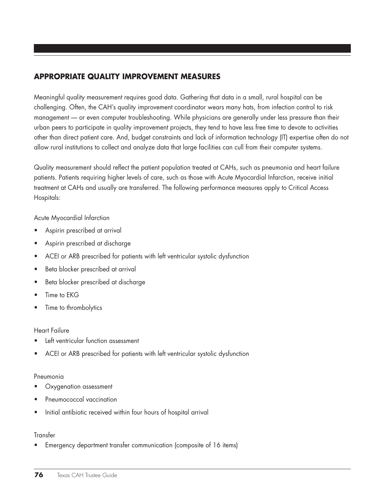# **APPROPRIATE QUALITY IMPROVEMENT MEASURES**

Meaningful quality measurement requires good data. Gathering that data in a small, rural hospital can be challenging. Often, the CAH's quality improvement coordinator wears many hats, from infection control to risk management — or even computer troubleshooting. While physicians are generally under less pressure than their urban peers to participate in quality improvement projects, they tend to have less free time to devote to activities other than direct patient care. And, budget constraints and lack of information technology (IT) expertise often do not allow rural institutions to collect and analyze data that large facilities can cull from their computer systems.

Quality measurement should reflect the patient population treated at CAHs, such as pneumonia and heart failure patients. Patients requiring higher levels of care, such as those with Acute Myocardial Infarction, receive initial treatment at CAHs and usually are transferred. The following performance measures apply to Critical Access Hospitals:

Acute Myocardial Infarction

- Aspirin prescribed at arrival
- Aspirin prescribed at discharge
- ACEI or ARB prescribed for patients with left ventricular systolic dysfunction
- • Beta blocker prescribed at arrival
- Beta blocker prescribed at discharge
- Time to EKG
- Time to thrombolytics

#### Heart Failure

- Left ventricular function assessment
- ACEI or ARB prescribed for patients with left ventricular systolic dysfunction

#### Pneumonia

- Oxygenation assessment
- Pneumococcal vaccination
- Initial antibiotic received within four hours of hospital arrival

#### **Transfer**

• Emergency department transfer communication (composite of 16 items)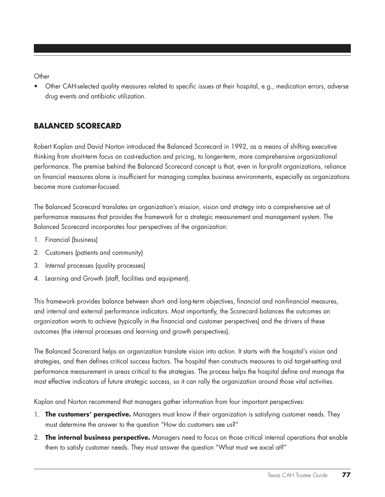**Other** 

Other CAH-selected quality measures related to specific issues at their hospital, e.g., medication errors, adverse drug events and antibiotic utilization.

# **BALANCED SCORECARD**

Robert Kaplan and David Norton introduced the Balanced Scorecard in 1992, as a means of shifting executive thinking from short-term focus on cost-reduction and pricing, to longer-term, more comprehensive organizational performance. The premise behind the Balanced Scorecard concept is that, even in for-profit organizations, reliance on financial measures alone is insufficient for managing complex business environments, especially as organizations become more customer-focused.

The Balanced Scorecard translates an organization's mission, vision and strategy into a comprehensive set of performance measures that provides the framework for a strategic measurement and management system. The Balanced Scorecard incorporates four perspectives of the organization:

- 1. Financial (business)
- 2. Customers (patients and community)
- 3. Internal processes (quality processes)
- 4. Learning and Growth (staff, facilities and equipment).

This framework provides balance between short- and long-term objectives, financial and non-financial measures, and internal and external performance indicators. Most importantly, the Scorecard balances the outcomes an organization wants to achieve (typically in the financial and customer perspectives) and the drivers of these outcomes (the internal processes and learning and growth perspectives).

The Balanced Scorecard helps an organization translate vision into action. It starts with the hospital's vision and strategies, and then defines critical success factors. The hospital then constructs measures to aid target-setting and performance measurement in areas critical to the strategies. The process helps the hospital define and manage the most effective indicators of future strategic success, so it can rally the organization around those vital activities.

Kaplan and Norton recommend that managers gather information from four important perspectives:

- 1. **The customers' perspective.** Managers must know if their organization is satisfying customer needs. They must determine the answer to the question "How do customers see us?"
- 2. **The internal business perspective.** Managers need to focus on those critical internal operations that enable them to satisfy customer needs. They must answer the question "What must we excel at?"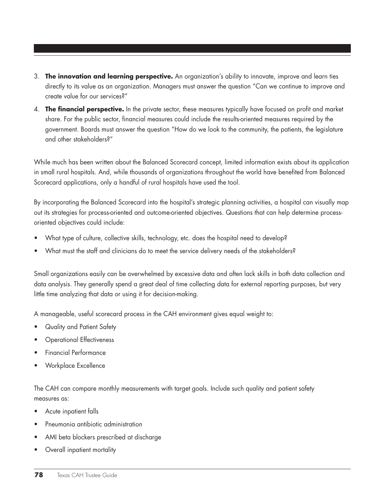- 3. **The innovation and learning perspective.** An organization's ability to innovate, improve and learn ties directly to its value as an organization. Managers must answer the question "Can we continue to improve and create value for our services?"
- 4. **The financial perspective.** In the private sector, these measures typically have focused on profit and market share. For the public sector, financial measures could include the results-oriented measures required by the government. Boards must answer the question "How do we look to the community, the patients, the legislature and other stakeholders?"

While much has been written about the Balanced Scorecard concept, limited information exists about its application in small rural hospitals. And, while thousands of organizations throughout the world have benefited from Balanced Scorecard applications, only a handful of rural hospitals have used the tool.

By incorporating the Balanced Scorecard into the hospital's strategic planning activities, a hospital can visually map out its strategies for process-oriented and outcome-oriented objectives. Questions that can help determine processoriented objectives could include:

- What type of culture, collective skills, technology, etc. does the hospital need to develop?
- What must the staff and clinicians do to meet the service delivery needs of the stakeholders?

Small organizations easily can be overwhelmed by excessive data and often lack skills in both data collection and data analysis. They generally spend a great deal of time collecting data for external reporting purposes, but very little time analyzing that data or using it for decision-making.

A manageable, useful scorecard process in the CAH environment gives equal weight to:

- Quality and Patient Safety
- **Operational Effectiveness**
- **Financial Performance**
- Workplace Excellence

The CAH can compare monthly measurements with target goals. Include such quality and patient safety measures as:

- Acute inpatient falls
- Pneumonia antibiotic administration
- AMI beta blockers prescribed at discharge
- Overall inpatient mortality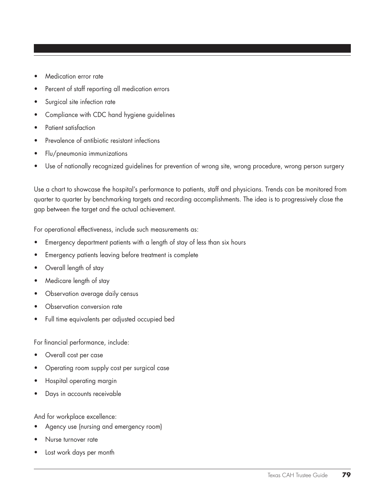- Medication error rate
- Percent of staff reporting all medication errors
- Surgical site infection rate
- Compliance with CDC hand hygiene guidelines
- Patient satisfaction
- Prevalence of antibiotic resistant infections
- Flu/pneumonia immunizations
- Use of nationally recognized guidelines for prevention of wrong site, wrong procedure, wrong person surgery

Use a chart to showcase the hospital's performance to patients, staff and physicians. Trends can be monitored from quarter to quarter by benchmarking targets and recording accomplishments. The idea is to progressively close the gap between the target and the actual achievement.

For operational effectiveness, include such measurements as:

- Emergency department patients with a length of stay of less than six hours
- Emergency patients leaving before treatment is complete
- Overall length of stay
- Medicare length of stay
- Observation average daily census
- Observation conversion rate
- • Full time equivalents per adjusted occupied bed

For financial performance, include:

- Overall cost per case
- Operating room supply cost per surgical case
- Hospital operating margin
- Days in accounts receivable

And for workplace excellence:

- Agency use (nursing and emergency room)
- Nurse turnover rate
- Lost work days per month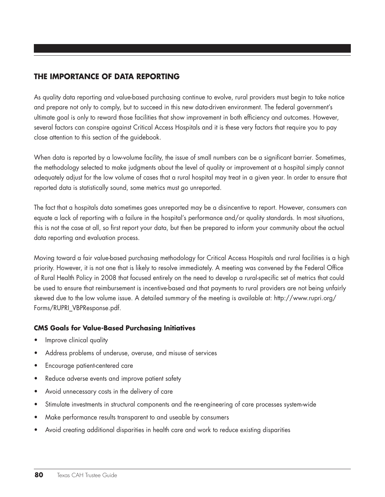# **THE IMPORTANCE OF DATA REPORTING**

As quality data reporting and value-based purchasing continue to evolve, rural providers must begin to take notice and prepare not only to comply, but to succeed in this new data-driven environment. The federal government's ultimate goal is only to reward those facilities that show improvement in both efficiency and outcomes. However, several factors can conspire against Critical Access Hospitals and it is these very factors that require you to pay close attention to this section of the guidebook.

When data is reported by a low-volume facility, the issue of small numbers can be a significant barrier. Sometimes, the methodology selected to make judgments about the level of quality or improvement at a hospital simply cannot adequately adjust for the low volume of cases that a rural hospital may treat in a given year. In order to ensure that reported data is statistically sound, some metrics must go unreported.

The fact that a hospitals data sometimes goes unreported may be a disincentive to report. However, consumers can equate a lack of reporting with a failure in the hospital's performance and/or quality standards. In most situations, this is not the case at all, so first report your data, but then be prepared to inform your community about the actual data reporting and evaluation process.

Moving toward a fair value-based purchasing methodology for Critical Access Hospitals and rural facilities is a high priority. However, it is not one that is likely to resolve immediately. A meeting was convened by the Federal Office of Rural Health Policy in 2008 that focused entirely on the need to develop a rural-specific set of metrics that could be used to ensure that reimbursement is incentive-based and that payments to rural providers are not being unfairly skewed due to the low volume issue. A detailed summary of the meeting is available at: http://www.rupri.org/ Forms/RUPRI\_VBPResponse.pdf.

## **CMS Goals for Value-Based Purchasing Initiatives**

- Improve clinical quality
- Address problems of underuse, overuse, and misuse of services
- • Encourage patient-centered care
- Reduce adverse events and improve patient safety
- Avoid unnecessary costs in the delivery of care
- Stimulate investments in structural components and the re-engineering of care processes system-wide
- Make performance results transparent to and useable by consumers
- Avoid creating additional disparities in health care and work to reduce existing disparities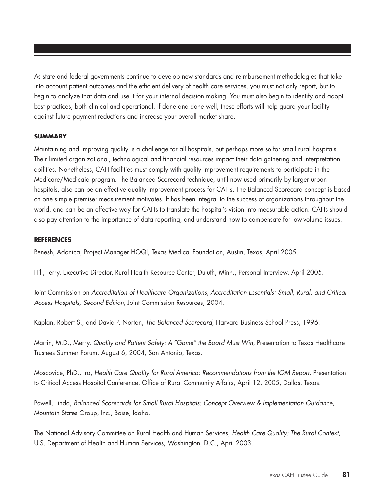As state and federal governments continue to develop new standards and reimbursement methodologies that take into account patient outcomes and the efficient delivery of health care services, you must not only report, but to begin to analyze that data and use it for your internal decision making. You must also begin to identify and adopt best practices, both clinical and operational. If done and done well, these efforts will help guard your facility against future payment reductions and increase your overall market share.

#### **SUMMARY**

Maintaining and improving quality is a challenge for all hospitals, but perhaps more so for small rural hospitals. Their limited organizational, technological and financial resources impact their data gathering and interpretation abilities. Nonetheless, CAH facilities must comply with quality improvement requirements to participate in the Medicare/Medicaid program. The Balanced Scorecard technique, until now used primarily by larger urban hospitals, also can be an effective quality improvement process for CAHs. The Balanced Scorecard concept is based on one simple premise: measurement motivates. It has been integral to the success of organizations throughout the world, and can be an effective way for CAHs to translate the hospital's vision into measurable action. CAHs should also pay attention to the importance of data reporting, and understand how to compensate for low-volume issues.

#### **REFERENCES**

Benesh, Adonica, Project Manager HOQI, Texas Medical Foundation, Austin, Texas, April 2005.

Hill, Terry, Executive Director, Rural Health Resource Center, Duluth, Minn., Personal Interview, April 2005.

Joint Commission on *Accreditation of Healthcare Organizations, Accreditation Essentials: Small, Rural, and Critical Access Hospitals, Second Edition*, Joint Commission Resources, 2004.

Kaplan, Robert S., and David P. Norton, *The Balanced Scorecard*, Harvard Business School Press, 1996.

Martin, M.D., Merry, *Quality and Patient Safety: A "Game" the Board Must Win*, Presentation to Texas Healthcare Trustees Summer Forum, August 6, 2004, San Antonio, Texas.

Moscovice, PhD., Ira, *Health Care Quality for Rural America: Recommendations from the IOM Report*, Presentation to Critical Access Hospital Conference, Office of Rural Community Affairs, April 12, 2005, Dallas, Texas.

Powell, Linda, *Balanced Scorecards for Small Rural Hospitals: Concept Overview & Implementation Guidance*, Mountain States Group, Inc., Boise, Idaho.

The National Advisory Committee on Rural Health and Human Services, *Health Care Quality: The Rural Context*, U.S. Department of Health and Human Services, Washington, D.C., April 2003.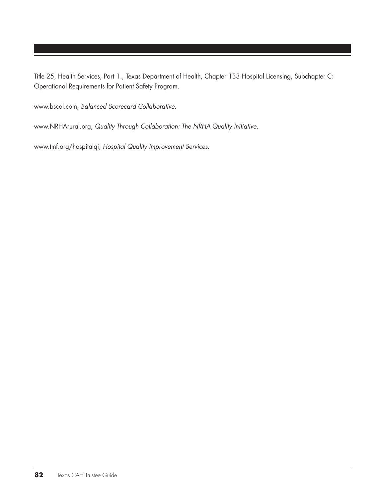Title 25, Health Services, Part 1., Texas Department of Health, Chapter 133 Hospital Licensing, Subchapter C: Operational Requirements for Patient Safety Program.

www.bscol.com, *Balanced Scorecard Collaborative*.

www.NRHArural.org, *Quality Through Collaboration: The NRHA Quality Initiative*.

www.tmf.org/hospitalqi, *Hospital Quality Improvement Services*.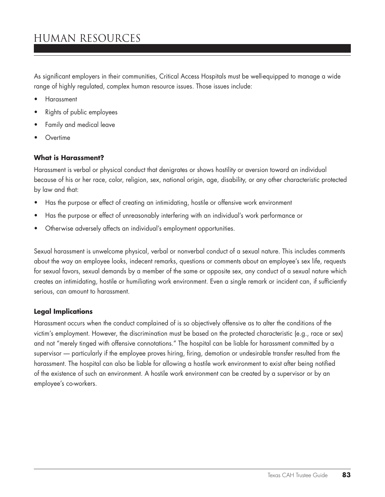# human resources

As significant employers in their communities, Critical Access Hospitals must be well-equipped to manage a wide range of highly regulated, complex human resource issues. Those issues include:

- **Harassment**
- Rights of public employees
- Family and medical leave
- **Overtime**

#### **What is Harassment?**

Harassment is verbal or physical conduct that denigrates or shows hostility or aversion toward an individual because of his or her race, color, religion, sex, national origin, age, disability, or any other characteristic protected by law and that:

- Has the purpose or effect of creating an intimidating, hostile or offensive work environment
- Has the purpose or effect of unreasonably interfering with an individual's work performance or
- Otherwise adversely affects an individual's employment opportunities.

Sexual harassment is unwelcome physical, verbal or nonverbal conduct of a sexual nature. This includes comments about the way an employee looks, indecent remarks, questions or comments about an employee's sex life, requests for sexual favors, sexual demands by a member of the same or opposite sex, any conduct of a sexual nature which creates an intimidating, hostile or humiliating work environment. Even a single remark or incident can, if sufficiently serious, can amount to harassment.

#### **Legal Implications**

Harassment occurs when the conduct complained of is so objectively offensive as to alter the conditions of the victim's employment. However, the discrimination must be based on the protected characteristic (e.g., race or sex) and not "merely tinged with offensive connotations." The hospital can be liable for harassment committed by a supervisor — particularly if the employee proves hiring, firing, demotion or undesirable transfer resulted from the harassment. The hospital can also be liable for allowing a hostile work environment to exist after being notified of the existence of such an environment. A hostile work environment can be created by a supervisor or by an employee's co-workers.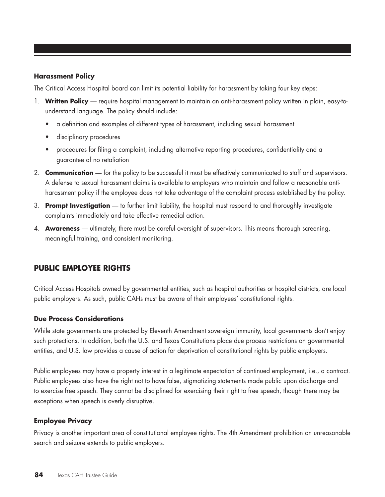#### **Harassment Policy**

The Critical Access Hospital board can limit its potential liability for harassment by taking four key steps:

- 1. **Written Policy** require hospital management to maintain an anti-harassment policy written in plain, easy-tounderstand language. The policy should include:
	- a definition and examples of different types of harassment, including sexual harassment
	- disciplinary procedures
	- procedures for filing a complaint, including alternative reporting procedures, confidentiality and a guarantee of no retaliation
- 2. **Communication** for the policy to be successful it must be effectively communicated to staff and supervisors. A defense to sexual harassment claims is available to employers who maintain and follow a reasonable antiharassment policy if the employee does not take advantage of the complaint process established by the policy.
- 3. **Prompt Investigation** to further limit liability, the hospital must respond to and thoroughly investigate complaints immediately and take effective remedial action.
- 4. **Awareness** ultimately, there must be careful oversight of supervisors. This means thorough screening, meaningful training, and consistent monitoring.

# **Public Employee Rights**

Critical Access Hospitals owned by governmental entities, such as hospital authorities or hospital districts, are local public employers. As such, public CAHs must be aware of their employees' constitutional rights.

#### **Due Process Considerations**

While state governments are protected by Eleventh Amendment sovereign immunity, local governments don't enjoy such protections. In addition, both the U.S. and Texas Constitutions place due process restrictions on governmental entities, and U.S. law provides a cause of action for deprivation of constitutional rights by public employers.

Public employees may have a property interest in a legitimate expectation of continued employment, i.e., a contract. Public employees also have the right not to have false, stigmatizing statements made public upon discharge and to exercise free speech. They cannot be disciplined for exercising their right to free speech, though there may be exceptions when speech is overly disruptive.

## **Employee Privacy**

Privacy is another important area of constitutional employee rights. The 4th Amendment prohibition on unreasonable search and seizure extends to public employers.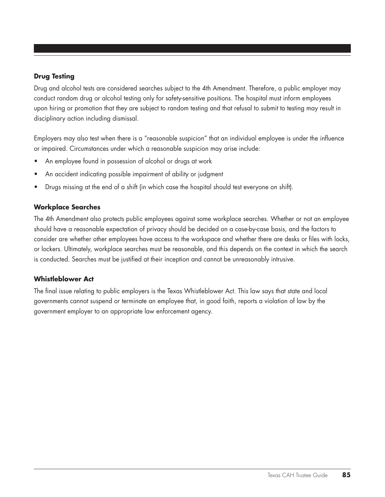## **Drug Testing**

Drug and alcohol tests are considered searches subject to the 4th Amendment. Therefore, a public employer may conduct random drug or alcohol testing only for safety-sensitive positions. The hospital must inform employees upon hiring or promotion that they are subject to random testing and that refusal to submit to testing may result in disciplinary action including dismissal.

Employers may also test when there is a "reasonable suspicion" that an individual employee is under the influence or impaired. Circumstances under which a reasonable suspicion may arise include:

- An employee found in possession of alcohol or drugs at work
- An accident indicating possible impairment of ability or judgment
- • Drugs missing at the end of a shift (in which case the hospital should test everyone on shift).

## **Workplace Searches**

The 4th Amendment also protects public employees against some workplace searches. Whether or not an employee should have a reasonable expectation of privacy should be decided on a case-by-case basis, and the factors to consider are whether other employees have access to the workspace and whether there are desks or files with locks, or lockers. Ultimately, workplace searches must be reasonable, and this depends on the context in which the search is conducted. Searches must be justified at their inception and cannot be unreasonably intrusive.

## **Whistleblower Act**

The final issue relating to public employers is the Texas Whistleblower Act. This law says that state and local governments cannot suspend or terminate an employee that, in good faith, reports a violation of law by the government employer to an appropriate law enforcement agency.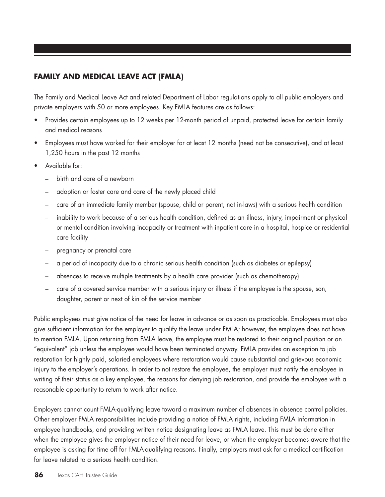# **Family and Medical Leave Act (FMLA)**

The Family and Medical Leave Act and related Department of Labor regulations apply to all public employers and private employers with 50 or more employees. Key FMLA features are as follows:

- • Provides certain employees up to 12 weeks per 12-month period of unpaid, protected leave for certain family and medical reasons
- • Employees must have worked for their employer for at least 12 months (need not be consecutive), and at least 1,250 hours in the past 12 months
- Available for:
	- birth and care of a newborn
	- adoption or foster care and care of the newly placed child
	- care of an immediate family member (spouse, child or parent, not in-laws) with a serious health condition
	- inability to work because of a serious health condition, defined as an illness, injury, impairment or physical or mental condition involving incapacity or treatment with inpatient care in a hospital, hospice or residential care facility
	- pregnancy or prenatal care
	- a period of incapacity due to a chronic serious health condition (such as diabetes or epilepsy)
	- absences to receive multiple treatments by a health care provider (such as chemotherapy)
	- care of a covered service member with a serious injury or illness if the employee is the spouse, son, daughter, parent or next of kin of the service member

Public employees must give notice of the need for leave in advance or as soon as practicable. Employees must also give sufficient information for the employer to qualify the leave under FMLA; however, the employee does not have to mention FMLA. Upon returning from FMLA leave, the employee must be restored to their original position or an "equivalent" job unless the employee would have been terminated anyway. FMLA provides an exception to job restoration for highly paid, salaried employees where restoration would cause substantial and grievous economic injury to the employer's operations. In order to not restore the employee, the employer must notify the employee in writing of their status as a key employee, the reasons for denying job restoration, and provide the employee with a reasonable opportunity to return to work after notice.

Employers cannot count FMLA-qualifying leave toward a maximum number of absences in absence control policies. Other employer FMLA responsibilities include providing a notice of FMLA rights, including FMLA information in employee handbooks, and providing written notice designating leave as FMLA leave. This must be done either when the employee gives the employer notice of their need for leave, or when the employer becomes aware that the employee is asking for time off for FMLA-qualifying reasons. Finally, employers must ask for a medical certification for leave related to a serious health condition.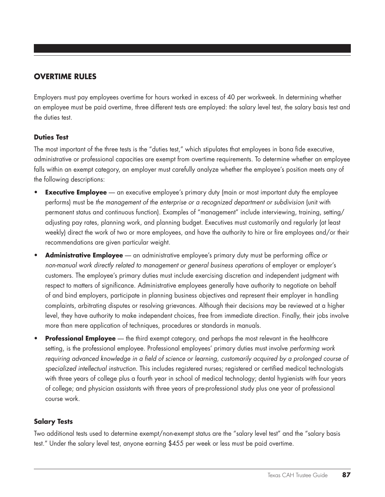# **Overtime Rules**

Employers must pay employees overtime for hours worked in excess of 40 per workweek. In determining whether an employee must be paid overtime, three different tests are employed: the salary level test, the salary basis test and the duties test.

## **Duties Test**

The most important of the three tests is the "duties test," which stipulates that employees in bona fide executive, administrative or professional capacities are exempt from overtime requirements. To determine whether an employee falls within an exempt category, an employer must carefully analyze whether the employee's position meets any of the following descriptions:

- **Executive Employee** an executive employee's primary duty (main or most important duty the employee performs) must be *the management of the enterprise or a recognized department or subdivision* (unit with permanent status and continuous function). Examples of "management" include interviewing, training, setting/ adjusting pay rates, planning work, and planning budget. Executives must customarily and regularly (at least weekly) direct the work of two or more employees, and have the authority to hire or fire employees and/or their recommendations are given particular weight.
- Administrative Employee an administrative employee's primary duty must be performing office or *non-manual work directly related to management or general business operations* of employer or employer's customers. The employee's primary duties must include exercising discretion and independent judgment with respect to matters of significance. Administrative employees generally have authority to negotiate on behalf of and bind employers, participate in planning business objectives and represent their employer in handling complaints, arbitrating disputes or resolving grievances. Although their decisions may be reviewed at a higher level, they have authority to make independent choices, free from immediate direction. Finally, their jobs involve more than mere application of techniques, procedures or standards in manuals.
- **Professional Employee** the third exempt category, and perhaps the most relevant in the healthcare setting, is the professional employee. Professional employees' primary duties must involve *performing work*  requiring advanced knowledge in a field of science or learning, customarily acquired by a prolonged course of *specialized intellectual instruction*. This includes registered nurses; registered or certified medical technologists with three years of college plus a fourth year in school of medical technology; dental hygienists with four years of college; and physician assistants with three years of pre-professional study plus one year of professional course work.

# **Salary Tests**

Two additional tests used to determine exempt/non-exempt status are the "salary level test" and the "salary basis test." Under the salary level test, anyone earning \$455 per week or less must be paid overtime.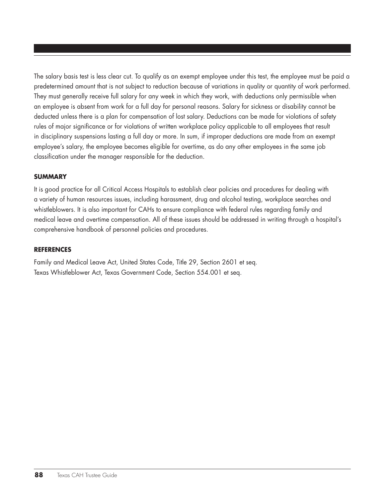The salary basis test is less clear cut. To qualify as an exempt employee under this test, the employee must be paid a predetermined amount that is not subject to reduction because of variations in quality or quantity of work performed. They must generally receive full salary for any week in which they work, with deductions only permissible when an employee is absent from work for a full day for personal reasons. Salary for sickness or disability cannot be deducted unless there is a plan for compensation of lost salary. Deductions can be made for violations of safety rules of major significance or for violations of written workplace policy applicable to all employees that result in disciplinary suspensions lasting a full day or more. In sum, if improper deductions are made from an exempt employee's salary, the employee becomes eligible for overtime, as do any other employees in the same job classification under the manager responsible for the deduction.

## **Summary**

It is good practice for all Critical Access Hospitals to establish clear policies and procedures for dealing with a variety of human resources issues, including harassment, drug and alcohol testing, workplace searches and whistleblowers. It is also important for CAHs to ensure compliance with federal rules regarding family and medical leave and overtime compensation. All of these issues should be addressed in writing through a hospital's comprehensive handbook of personnel policies and procedures.

### **References**

Family and Medical Leave Act, United States Code, Title 29, Section 2601 et seq. Texas Whistleblower Act, Texas Government Code, Section 554.001 et seq.